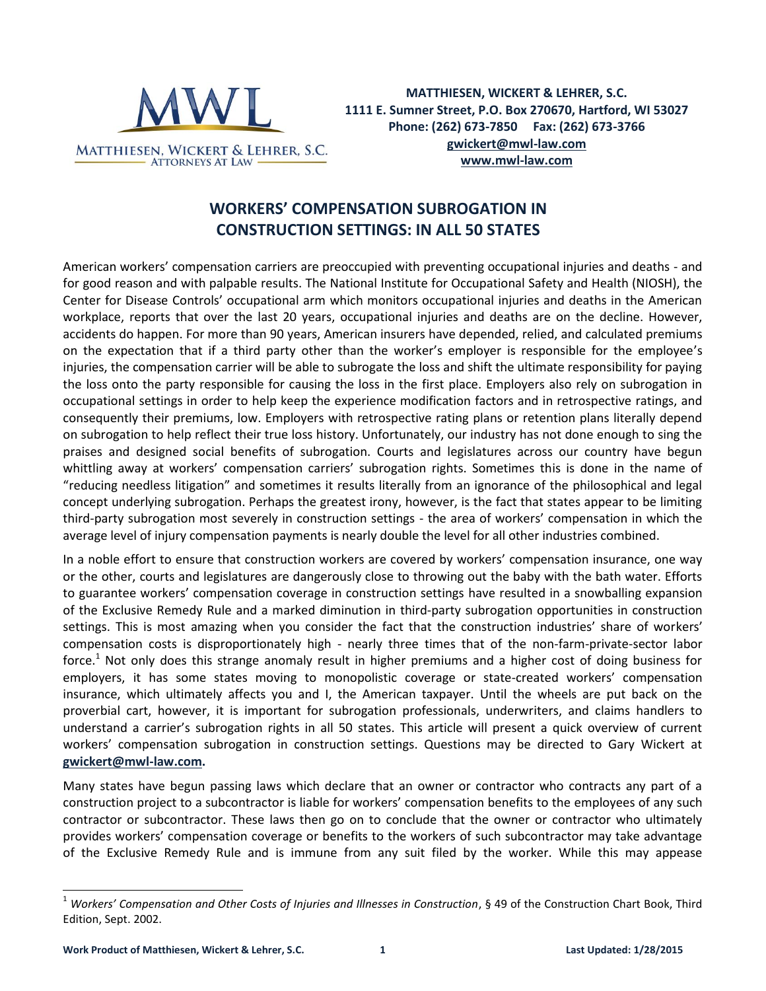

**MATTHIESEN, WICKERT & LEHRER, S.C. 1111 E. Sumner Street, P.O. Box 270670, Hartford, WI 53027 Phone: (262) 673-7850 Fax: (262) 673-3766 [gwickert@mwl-law.com](mailto:gwickert@mwl-law.com) [www.mwl-law.com](http://www.mwl-law.com/)**

## **WORKERS' COMPENSATION SUBROGATION IN CONSTRUCTION SETTINGS: IN ALL 50 STATES**

American workers' compensation carriers are preoccupied with preventing occupational injuries and deaths - and for good reason and with palpable results. The National Institute for Occupational Safety and Health (NIOSH), the Center for Disease Controls' occupational arm which monitors occupational injuries and deaths in the American workplace, reports that over the last 20 years, occupational injuries and deaths are on the decline. However, accidents do happen. For more than 90 years, American insurers have depended, relied, and calculated premiums on the expectation that if a third party other than the worker's employer is responsible for the employee's injuries, the compensation carrier will be able to subrogate the loss and shift the ultimate responsibility for paying the loss onto the party responsible for causing the loss in the first place. Employers also rely on subrogation in occupational settings in order to help keep the experience modification factors and in retrospective ratings, and consequently their premiums, low. Employers with retrospective rating plans or retention plans literally depend on subrogation to help reflect their true loss history. Unfortunately, our industry has not done enough to sing the praises and designed social benefits of subrogation. Courts and legislatures across our country have begun whittling away at workers' compensation carriers' subrogation rights. Sometimes this is done in the name of "reducing needless litigation" and sometimes it results literally from an ignorance of the philosophical and legal concept underlying subrogation. Perhaps the greatest irony, however, is the fact that states appear to be limiting third-party subrogation most severely in construction settings - the area of workers' compensation in which the average level of injury compensation payments is nearly double the level for all other industries combined.

In a noble effort to ensure that construction workers are covered by workers' compensation insurance, one way or the other, courts and legislatures are dangerously close to throwing out the baby with the bath water. Efforts to guarantee workers' compensation coverage in construction settings have resulted in a snowballing expansion of the Exclusive Remedy Rule and a marked diminution in third-party subrogation opportunities in construction settings. This is most amazing when you consider the fact that the construction industries' share of workers' compensation costs is disproportionately high - nearly three times that of the non-farm-private-sector labor force.<sup>1</sup> Not only does this strange anomaly result in higher premiums and a higher cost of doing business for employers, it has some states moving to monopolistic coverage or state-created workers' compensation insurance, which ultimately affects you and I, the American taxpayer. Until the wheels are put back on the proverbial cart, however, it is important for subrogation professionals, underwriters, and claims handlers to understand a carrier's subrogation rights in all 50 states. This article will present a quick overview of current workers' compensation subrogation in construction settings. Questions may be directed to Gary Wickert at **[gwickert@mwl-law.com.](mailto:gwickert@mwl-law.com)**

Many states have begun passing laws which declare that an owner or contractor who contracts any part of a construction project to a subcontractor is liable for workers' compensation benefits to the employees of any such contractor or subcontractor. These laws then go on to conclude that the owner or contractor who ultimately provides workers' compensation coverage or benefits to the workers of such subcontractor may take advantage of the Exclusive Remedy Rule and is immune from any suit filed by the worker. While this may appease

<sup>&</sup>lt;sup>1</sup> Workers' Compensation and Other Costs of Injuries and Illnesses in Construction, § 49 of the Construction Chart Book, Third Edition, Sept. 2002.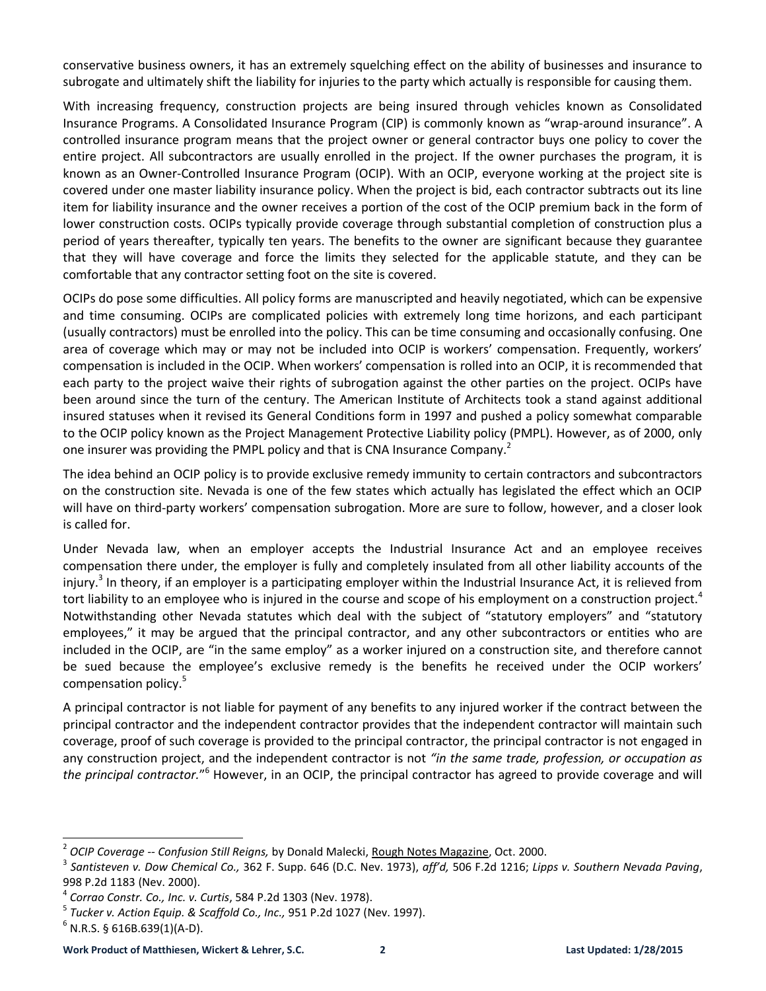conservative business owners, it has an extremely squelching effect on the ability of businesses and insurance to subrogate and ultimately shift the liability for injuries to the party which actually is responsible for causing them.

With increasing frequency, construction projects are being insured through vehicles known as Consolidated Insurance Programs. A Consolidated Insurance Program (CIP) is commonly known as "wrap-around insurance". A controlled insurance program means that the project owner or general contractor buys one policy to cover the entire project. All subcontractors are usually enrolled in the project. If the owner purchases the program, it is known as an Owner-Controlled Insurance Program (OCIP). With an OCIP, everyone working at the project site is covered under one master liability insurance policy. When the project is bid, each contractor subtracts out its line item for liability insurance and the owner receives a portion of the cost of the OCIP premium back in the form of lower construction costs. OCIPs typically provide coverage through substantial completion of construction plus a period of years thereafter, typically ten years. The benefits to the owner are significant because they guarantee that they will have coverage and force the limits they selected for the applicable statute, and they can be comfortable that any contractor setting foot on the site is covered.

OCIPs do pose some difficulties. All policy forms are manuscripted and heavily negotiated, which can be expensive and time consuming. OCIPs are complicated policies with extremely long time horizons, and each participant (usually contractors) must be enrolled into the policy. This can be time consuming and occasionally confusing. One area of coverage which may or may not be included into OCIP is workers' compensation. Frequently, workers' compensation is included in the OCIP. When workers' compensation is rolled into an OCIP, it is recommended that each party to the project waive their rights of subrogation against the other parties on the project. OCIPs have been around since the turn of the century. The American Institute of Architects took a stand against additional insured statuses when it revised its General Conditions form in 1997 and pushed a policy somewhat comparable to the OCIP policy known as the Project Management Protective Liability policy (PMPL). However, as of 2000, only one insurer was providing the PMPL policy and that is CNA Insurance Company.<sup>2</sup>

The idea behind an OCIP policy is to provide exclusive remedy immunity to certain contractors and subcontractors on the construction site. Nevada is one of the few states which actually has legislated the effect which an OCIP will have on third-party workers' compensation subrogation. More are sure to follow, however, and a closer look is called for.

Under Nevada law, when an employer accepts the Industrial Insurance Act and an employee receives compensation there under, the employer is fully and completely insulated from all other liability accounts of the injury.<sup>3</sup> In theory, if an employer is a participating employer within the Industrial Insurance Act, it is relieved from tort liability to an employee who is injured in the course and scope of his employment on a construction project.<sup>4</sup> Notwithstanding other Nevada statutes which deal with the subject of "statutory employers" and "statutory employees," it may be argued that the principal contractor, and any other subcontractors or entities who are included in the OCIP, are "in the same employ" as a worker injured on a construction site, and therefore cannot be sued because the employee's exclusive remedy is the benefits he received under the OCIP workers' compensation policy.<sup>5</sup>

A principal contractor is not liable for payment of any benefits to any injured worker if the contract between the principal contractor and the independent contractor provides that the independent contractor will maintain such coverage, proof of such coverage is provided to the principal contractor, the principal contractor is not engaged in any construction project, and the independent contractor is not *"in the same trade, profession, or occupation as*  the principal contractor."<sup>6</sup> However, in an OCIP, the principal contractor has agreed to provide coverage and will

<sup>2</sup> *OCIP Coverage -- Confusion Still Reigns,* by Donald Malecki, Rough Notes Magazine, Oct. 2000.

<sup>3</sup> *Santisteven v. Dow Chemical Co.,* 362 F. Supp. 646 (D.C. Nev. 1973), *aff'd,* 506 F.2d 1216; *Lipps v. Southern Nevada Paving*, 998 P.2d 1183 (Nev. 2000).

<sup>4</sup> *Corrao Constr. Co., Inc. v. Curtis*, 584 P.2d 1303 (Nev. 1978).

<sup>5</sup> *Tucker v. Action Equip. & Scaffold Co., Inc.,* 951 P.2d 1027 (Nev. 1997).

 $6$  N.R.S. § 616B.639(1)(A-D).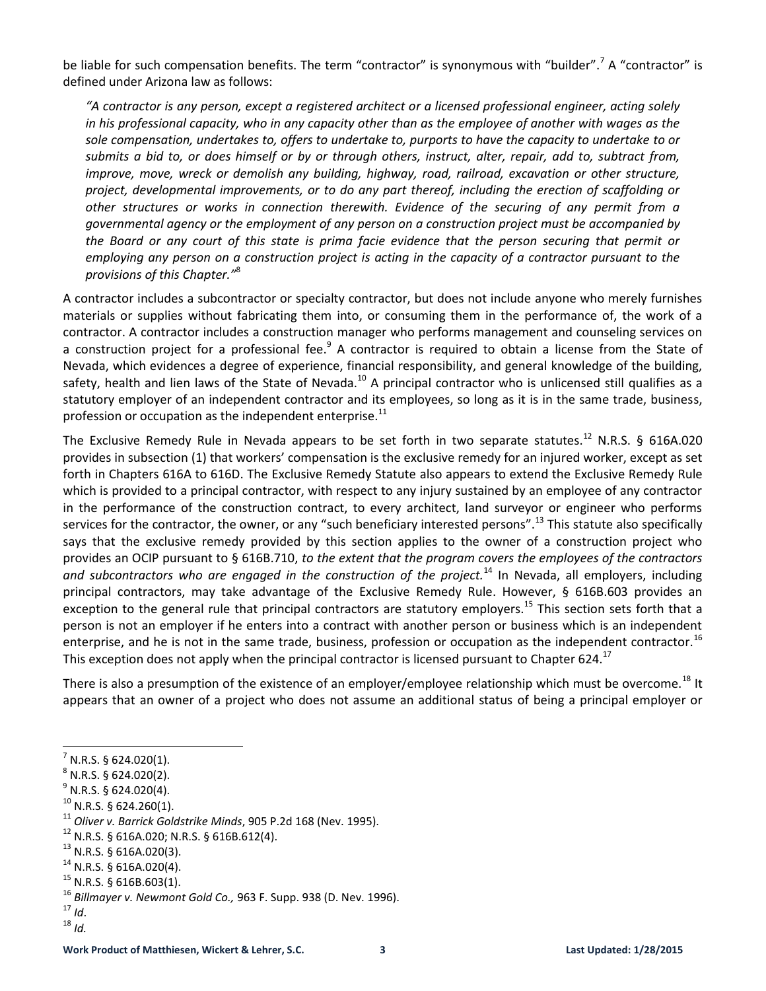be liable for such compensation benefits. The term "contractor" is synonymous with "builder".<sup>7</sup> A "contractor" is defined under Arizona law as follows:

*"A contractor is any person, except a registered architect or a licensed professional engineer, acting solely in his professional capacity, who in any capacity other than as the employee of another with wages as the sole compensation, undertakes to, offers to undertake to, purports to have the capacity to undertake to or submits a bid to, or does himself or by or through others, instruct, alter, repair, add to, subtract from, improve, move, wreck or demolish any building, highway, road, railroad, excavation or other structure, project, developmental improvements, or to do any part thereof, including the erection of scaffolding or other structures or works in connection therewith. Evidence of the securing of any permit from a governmental agency or the employment of any person on a construction project must be accompanied by the Board or any court of this state is prima facie evidence that the person securing that permit or employing any person on a construction project is acting in the capacity of a contractor pursuant to the provisions of this Chapter."*<sup>8</sup>

A contractor includes a subcontractor or specialty contractor, but does not include anyone who merely furnishes materials or supplies without fabricating them into, or consuming them in the performance of, the work of a contractor. A contractor includes a construction manager who performs management and counseling services on a construction project for a professional fee.<sup>9</sup> A contractor is required to obtain a license from the State of Nevada, which evidences a degree of experience, financial responsibility, and general knowledge of the building, safety, health and lien laws of the State of Nevada.<sup>10</sup> A principal contractor who is unlicensed still qualifies as a statutory employer of an independent contractor and its employees, so long as it is in the same trade, business, profession or occupation as the independent enterprise. $^{11}$ 

The Exclusive Remedy Rule in Nevada appears to be set forth in two separate statutes.<sup>12</sup> N.R.S. § 616A.020 provides in subsection (1) that workers' compensation is the exclusive remedy for an injured worker, except as set forth in Chapters 616A to 616D. The Exclusive Remedy Statute also appears to extend the Exclusive Remedy Rule which is provided to a principal contractor, with respect to any injury sustained by an employee of any contractor in the performance of the construction contract, to every architect, land surveyor or engineer who performs services for the contractor, the owner, or any "such beneficiary interested persons".<sup>13</sup> This statute also specifically says that the exclusive remedy provided by this section applies to the owner of a construction project who provides an OCIP pursuant to § 616B.710, *to the extent that the program covers the employees of the contractors and subcontractors who are engaged in the construction of the project.*<sup>14</sup> In Nevada, all employers, including principal contractors, may take advantage of the Exclusive Remedy Rule. However, § 616B.603 provides an exception to the general rule that principal contractors are statutory employers.<sup>15</sup> This section sets forth that a person is not an employer if he enters into a contract with another person or business which is an independent enterprise, and he is not in the same trade, business, profession or occupation as the independent contractor.<sup>16</sup> This exception does not apply when the principal contractor is licensed pursuant to Chapter 624.<sup>17</sup>

There is also a presumption of the existence of an employer/employee relationship which must be overcome.<sup>18</sup> It appears that an owner of a project who does not assume an additional status of being a principal employer or

 $10$  N.R.S. § 624.260(1).

 $<sup>7</sup>$  N.R.S. § 624.020(1).</sup>

 $^8$  N.R.S. § 624.020(2).

 $^9$  N.R.S. § 624.020(4).

<sup>11</sup> *Oliver v. Barrick Goldstrike Minds*, 905 P.2d 168 (Nev. 1995).

<sup>12</sup> N.R.S. § 616A.020; N.R.S. § 616B.612(4).

<sup>13</sup> N.R.S. § 616A.020(3).

 $14$  N.R.S. § 616A.020(4).

 $15$  N.R.S. § 616B.603(1).

<sup>16</sup> *Billmayer v. Newmont Gold Co.,* 963 F. Supp. 938 (D. Nev. 1996).

<sup>17</sup> *Id*.

<sup>18</sup> *Id.*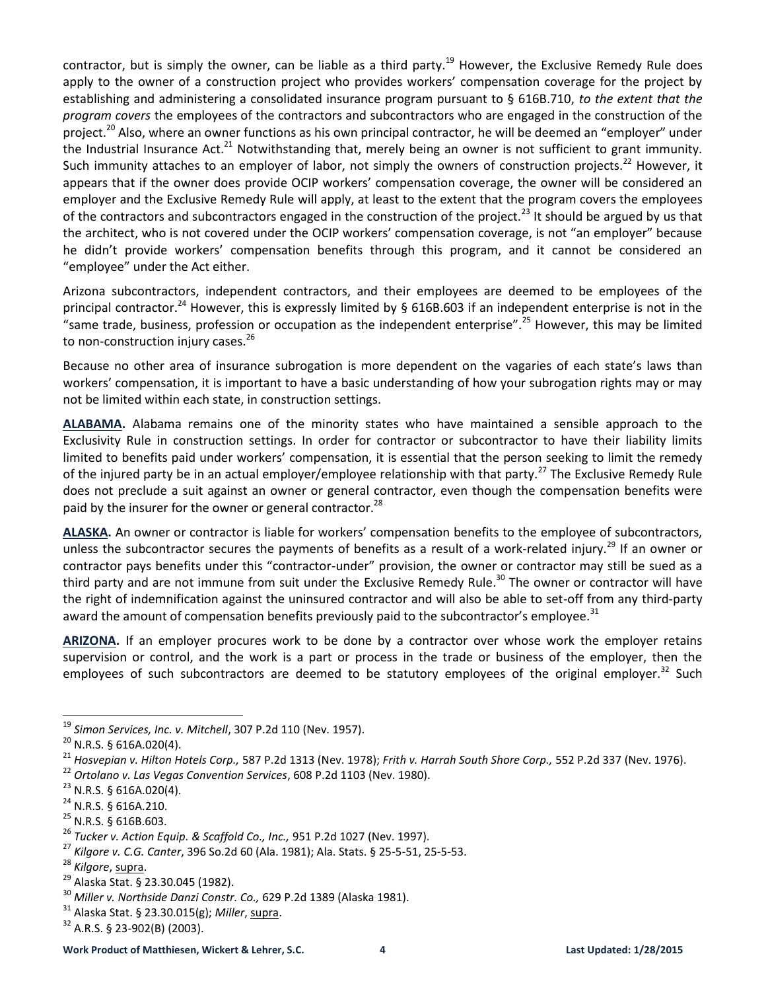contractor, but is simply the owner, can be liable as a third party.<sup>19</sup> However, the Exclusive Remedy Rule does apply to the owner of a construction project who provides workers' compensation coverage for the project by establishing and administering a consolidated insurance program pursuant to § 616B.710, *to the extent that the program covers* the employees of the contractors and subcontractors who are engaged in the construction of the project.<sup>20</sup> Also, where an owner functions as his own principal contractor, he will be deemed an "employer" under the Industrial Insurance Act.<sup>21</sup> Notwithstanding that, merely being an owner is not sufficient to grant immunity. Such immunity attaches to an employer of labor, not simply the owners of construction projects.<sup>22</sup> However, it appears that if the owner does provide OCIP workers' compensation coverage, the owner will be considered an employer and the Exclusive Remedy Rule will apply, at least to the extent that the program covers the employees of the contractors and subcontractors engaged in the construction of the project.<sup>23</sup> It should be argued by us that the architect, who is not covered under the OCIP workers' compensation coverage, is not "an employer" because he didn't provide workers' compensation benefits through this program, and it cannot be considered an "employee" under the Act either.

Arizona subcontractors, independent contractors, and their employees are deemed to be employees of the principal contractor.<sup>24</sup> However, this is expressly limited by § 616B.603 if an independent enterprise is not in the "same trade, business, profession or occupation as the independent enterprise".<sup>25</sup> However, this may be limited to non-construction injury cases.<sup>26</sup>

Because no other area of insurance subrogation is more dependent on the vagaries of each state's laws than workers' compensation, it is important to have a basic understanding of how your subrogation rights may or may not be limited within each state, in construction settings.

**ALABAMA.** Alabama remains one of the minority states who have maintained a sensible approach to the Exclusivity Rule in construction settings. In order for contractor or subcontractor to have their liability limits limited to benefits paid under workers' compensation, it is essential that the person seeking to limit the remedy of the injured party be in an actual employer/employee relationship with that party.<sup>27</sup> The Exclusive Remedy Rule does not preclude a suit against an owner or general contractor, even though the compensation benefits were paid by the insurer for the owner or general contractor.<sup>28</sup>

**ALASKA.** An owner or contractor is liable for workers' compensation benefits to the employee of subcontractors, unless the subcontractor secures the payments of benefits as a result of a work-related injury.<sup>29</sup> If an owner or contractor pays benefits under this "contractor-under" provision, the owner or contractor may still be sued as a third party and are not immune from suit under the Exclusive Remedy Rule.<sup>30</sup> The owner or contractor will have the right of indemnification against the uninsured contractor and will also be able to set-off from any third-party award the amount of compensation benefits previously paid to the subcontractor's employee.<sup>31</sup>

**ARIZONA.** If an employer procures work to be done by a contractor over whose work the employer retains supervision or control, and the work is a part or process in the trade or business of the employer, then the employees of such subcontractors are deemed to be statutory employees of the original employer.<sup>32</sup> Such

<sup>19</sup> *Simon Services, Inc. v. Mitchell*, 307 P.2d 110 (Nev. 1957).

 $20$  N.R.S. § 616A.020(4).

<sup>21</sup> *Hosvepian v. Hilton Hotels Corp.,* 587 P.2d 1313 (Nev. 1978); *Frith v. Harrah South Shore Corp.,* 552 P.2d 337 (Nev. 1976). <sup>22</sup> *Ortolano v. Las Vegas Convention Services*, 608 P.2d 1103 (Nev. 1980).

 $23$  N.R.S. § 616A.020(4).

<sup>24</sup> N.R.S. § 616A.210.

<sup>25</sup> N.R.S. § 616B.603.

<sup>26</sup> *Tucker v. Action Equip. & Scaffold Co., Inc.,* 951 P.2d 1027 (Nev. 1997).

<sup>27</sup> *Kilgore v. C.G. Canter*, 396 So.2d 60 (Ala. 1981); Ala. Stats. § 25-5-51, 25-5-53.

<sup>28</sup> *Kilgore*, supra.

<sup>29</sup> Alaska Stat. § 23.30.045 (1982).

<sup>30</sup> *Miller v. Northside Danzi Constr. Co.,* 629 P.2d 1389 (Alaska 1981).

<sup>31</sup> Alaska Stat. § 23.30.015(g); *Miller*, supra.

 $32$  A.R.S. § 23-902(B) (2003).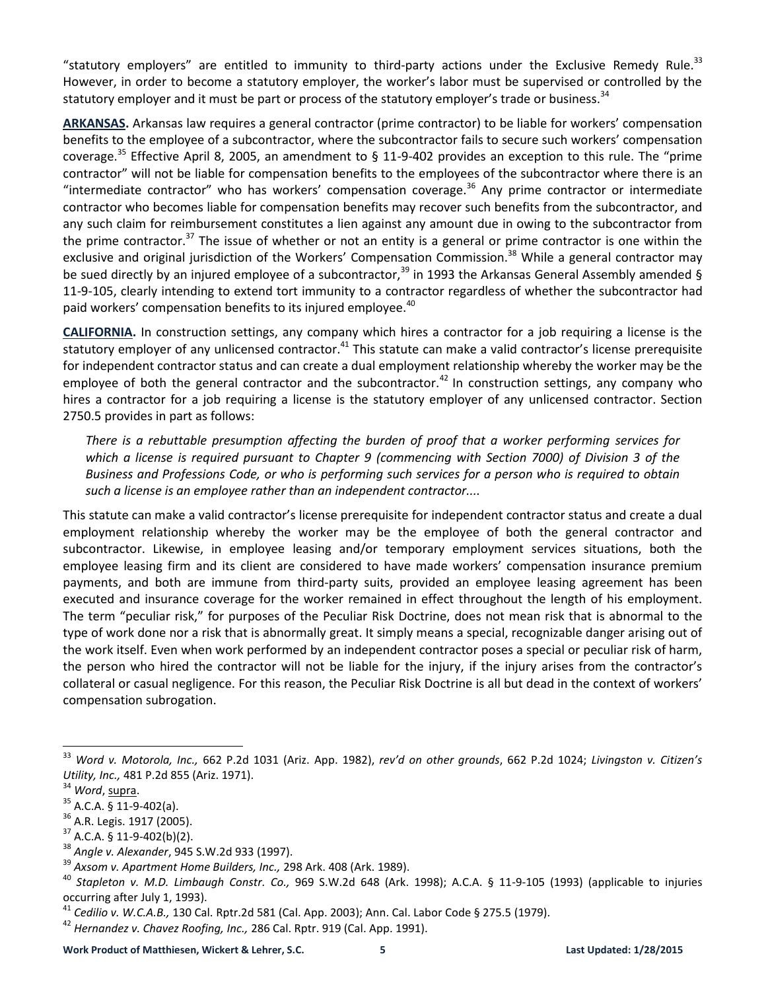"statutory employers" are entitled to immunity to third-party actions under the Exclusive Remedy Rule.<sup>33</sup> However, in order to become a statutory employer, the worker's labor must be supervised or controlled by the statutory employer and it must be part or process of the statutory employer's trade or business.  $34$ 

**ARKANSAS.** Arkansas law requires a general contractor (prime contractor) to be liable for workers' compensation benefits to the employee of a subcontractor, where the subcontractor fails to secure such workers' compensation coverage.<sup>35</sup> Effective April 8, 2005, an amendment to § 11-9-402 provides an exception to this rule. The "prime contractor" will not be liable for compensation benefits to the employees of the subcontractor where there is an "intermediate contractor" who has workers' compensation coverage.<sup>36</sup> Any prime contractor or intermediate contractor who becomes liable for compensation benefits may recover such benefits from the subcontractor, and any such claim for reimbursement constitutes a lien against any amount due in owing to the subcontractor from the prime contractor.<sup>37</sup> The issue of whether or not an entity is a general or prime contractor is one within the exclusive and original jurisdiction of the Workers' Compensation Commission.<sup>38</sup> While a general contractor may be sued directly by an injured employee of a subcontractor,<sup>39</sup> in 1993 the Arkansas General Assembly amended § 11-9-105, clearly intending to extend tort immunity to a contractor regardless of whether the subcontractor had paid workers' compensation benefits to its injured employee.<sup>40</sup>

**CALIFORNIA.** In construction settings, any company which hires a contractor for a job requiring a license is the statutory employer of any unlicensed contractor.<sup>41</sup> This statute can make a valid contractor's license prerequisite for independent contractor status and can create a dual employment relationship whereby the worker may be the employee of both the general contractor and the subcontractor.<sup>42</sup> In construction settings, any company who hires a contractor for a job requiring a license is the statutory employer of any unlicensed contractor. Section 2750.5 provides in part as follows:

*There is a rebuttable presumption affecting the burden of proof that a worker performing services for which a license is required pursuant to Chapter 9 (commencing with Section 7000) of Division 3 of the Business and Professions Code, or who is performing such services for a person who is required to obtain such a license is an employee rather than an independent contractor....*

This statute can make a valid contractor's license prerequisite for independent contractor status and create a dual employment relationship whereby the worker may be the employee of both the general contractor and subcontractor. Likewise, in employee leasing and/or temporary employment services situations, both the employee leasing firm and its client are considered to have made workers' compensation insurance premium payments, and both are immune from third-party suits, provided an employee leasing agreement has been executed and insurance coverage for the worker remained in effect throughout the length of his employment. The term "peculiar risk," for purposes of the Peculiar Risk Doctrine, does not mean risk that is abnormal to the type of work done nor a risk that is abnormally great. It simply means a special, recognizable danger arising out of the work itself. Even when work performed by an independent contractor poses a special or peculiar risk of harm, the person who hired the contractor will not be liable for the injury, if the injury arises from the contractor's collateral or casual negligence. For this reason, the Peculiar Risk Doctrine is all but dead in the context of workers' compensation subrogation.

<sup>33</sup> *Word v. Motorola, Inc.,* 662 P.2d 1031 (Ariz. App. 1982), *rev'd on other grounds*, 662 P.2d 1024; *Livingston v. Citizen's Utility, Inc.,* 481 P.2d 855 (Ariz. 1971).

<sup>34</sup> *Word*, supra.

<sup>35</sup> A.C.A. § 11-9-402(a).

<sup>&</sup>lt;sup>36</sup> A.R. Legis. 1917 (2005).

<sup>37</sup> A.C.A. § 11-9-402(b)(2).

<sup>38</sup> *Angle v. Alexander*, 945 S.W.2d 933 (1997).

<sup>39</sup> *Axsom v. Apartment Home Builders, Inc.,* 298 Ark. 408 (Ark. 1989).

<sup>40</sup> *Stapleton v. M.D. Limbaugh Constr. Co.,* 969 S.W.2d 648 (Ark. 1998); A.C.A. § 11-9-105 (1993) (applicable to injuries occurring after July 1, 1993).

<sup>41</sup> *Cedilio v. W.C.A.B.,* 130 Cal. Rptr.2d 581 (Cal. App. 2003); Ann. Cal. Labor Code § 275.5 (1979).

<sup>42</sup> *Hernandez v. Chavez Roofing, Inc.,* 286 Cal. Rptr. 919 (Cal. App. 1991).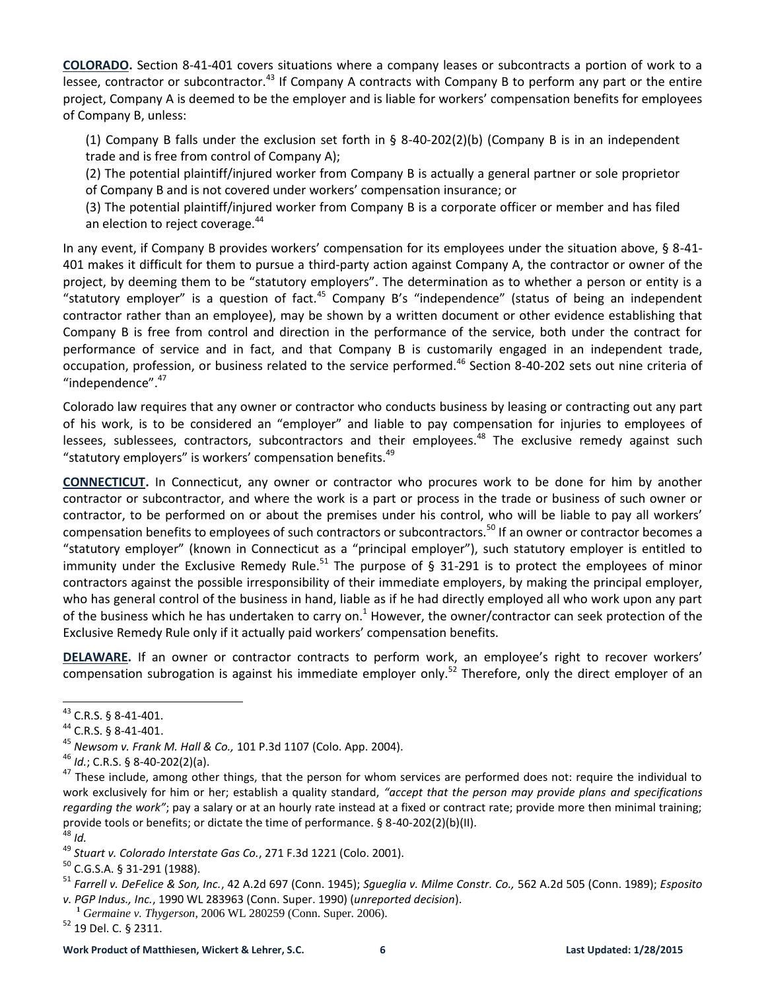**COLORADO.** Section 8-41-401 covers situations where a company leases or subcontracts a portion of work to a lessee, contractor or subcontractor.<sup>43</sup> If Company A contracts with Company B to perform any part or the entire project, Company A is deemed to be the employer and is liable for workers' compensation benefits for employees of Company B, unless:

(1) Company B falls under the exclusion set forth in  $\S$  8-40-202(2)(b) (Company B is in an independent trade and is free from control of Company A);

(2) The potential plaintiff/injured worker from Company B is actually a general partner or sole proprietor of Company B and is not covered under workers' compensation insurance; or

(3) The potential plaintiff/injured worker from Company B is a corporate officer or member and has filed an election to reject coverage.<sup>44</sup>

In any event, if Company B provides workers' compensation for its employees under the situation above, § 8-41- 401 makes it difficult for them to pursue a third-party action against Company A, the contractor or owner of the project, by deeming them to be "statutory employers". The determination as to whether a person or entity is a "statutory employer" is a question of fact.<sup>45</sup> Company B's "independence" (status of being an independent contractor rather than an employee), may be shown by a written document or other evidence establishing that Company B is free from control and direction in the performance of the service, both under the contract for performance of service and in fact, and that Company B is customarily engaged in an independent trade, occupation, profession, or business related to the service performed.<sup>46</sup> Section 8-40-202 sets out nine criteria of "independence".<sup>47</sup>

Colorado law requires that any owner or contractor who conducts business by leasing or contracting out any part of his work, is to be considered an "employer" and liable to pay compensation for injuries to employees of lessees, sublessees, contractors, subcontractors and their employees.<sup>48</sup> The exclusive remedy against such "statutory employers" is workers' compensation benefits. $49$ 

**CONNECTICUT.** In Connecticut, any owner or contractor who procures work to be done for him by another contractor or subcontractor, and where the work is a part or process in the trade or business of such owner or contractor, to be performed on or about the premises under his control, who will be liable to pay all workers' compensation benefits to employees of such contractors or subcontractors.<sup>50</sup> If an owner or contractor becomes a "statutory employer" (known in Connecticut as a "principal employer"), such statutory employer is entitled to immunity under the Exclusive Remedy Rule.<sup>51</sup> The purpose of § 31-291 is to protect the employees of minor contractors against the possible irresponsibility of their immediate employers, by making the principal employer, who has general control of the business in hand, liable as if he had directly employed all who work upon any part of the business which he has undertaken to carry on.<sup>1</sup> However, the owner/contractor can seek protection of the Exclusive Remedy Rule only if it actually paid workers' compensation benefits.

**DELAWARE.** If an owner or contractor contracts to perform work, an employee's right to recover workers' compensation subrogation is against his immediate employer only.<sup>52</sup> Therefore, only the direct employer of an

 $43$  C.R.S. § 8-41-401.

<sup>44</sup> C.R.S. § 8-41-401.

<sup>45</sup> *Newsom v. Frank M. Hall & Co.,* 101 P.3d 1107 (Colo. App. 2004).

<sup>46</sup> *Id.*; C.R.S. § 8-40-202(2)(a).

<sup>&</sup>lt;sup>47</sup> These include, among other things, that the person for whom services are performed does not: require the individual to work exclusively for him or her; establish a quality standard, *"accept that the person may provide plans and specifications regarding the work"*; pay a salary or at an hourly rate instead at a fixed or contract rate; provide more then minimal training; provide tools or benefits; or dictate the time of performance. § 8-40-202(2)(b)(II).

<sup>48</sup> *Id.*

<sup>49</sup> *Stuart v. Colorado Interstate Gas Co.*, 271 F.3d 1221 (Colo. 2001).

<sup>50</sup> C.G.S.A. § 31-291 (1988).

<sup>51</sup> *Farrell v. DeFelice & Son, Inc.*, 42 A.2d 697 (Conn. 1945); *Sgueglia v. Milme Constr. Co.,* 562 A.2d 505 (Conn. 1989); *Esposito v. PGP Indus., Inc.*, 1990 WL 283963 (Conn. Super. 1990) (*unreported decision*).

**<sup>1</sup>** *Germaine v. Thygerson*, 2006 WL 280259 (Conn. Super. 2006). <sup>52</sup> 19 Del. C. § 2311.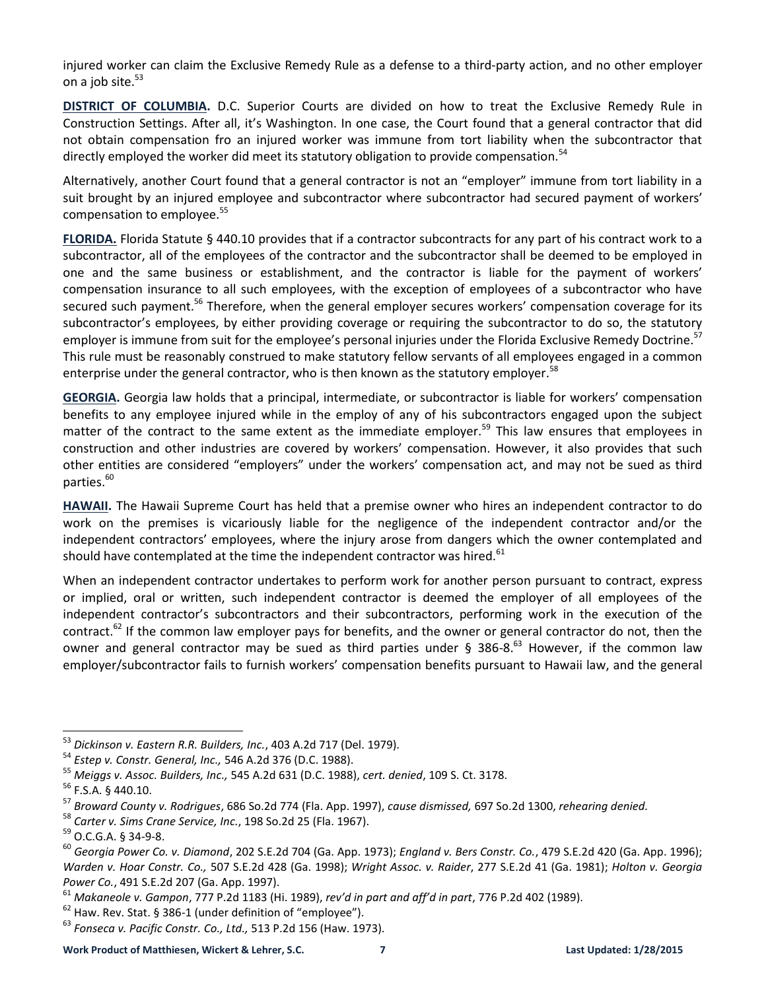injured worker can claim the Exclusive Remedy Rule as a defense to a third-party action, and no other employer on a job site.<sup>53</sup>

**DISTRICT OF COLUMBIA.** D.C. Superior Courts are divided on how to treat the Exclusive Remedy Rule in Construction Settings. After all, it's Washington. In one case, the Court found that a general contractor that did not obtain compensation fro an injured worker was immune from tort liability when the subcontractor that directly employed the worker did meet its statutory obligation to provide compensation.<sup>54</sup>

Alternatively, another Court found that a general contractor is not an "employer" immune from tort liability in a suit brought by an injured employee and subcontractor where subcontractor had secured payment of workers' compensation to employee.<sup>55</sup>

**FLORIDA.** Florida Statute § 440.10 provides that if a contractor subcontracts for any part of his contract work to a subcontractor, all of the employees of the contractor and the subcontractor shall be deemed to be employed in one and the same business or establishment, and the contractor is liable for the payment of workers' compensation insurance to all such employees, with the exception of employees of a subcontractor who have secured such payment.<sup>56</sup> Therefore, when the general employer secures workers' compensation coverage for its subcontractor's employees, by either providing coverage or requiring the subcontractor to do so, the statutory employer is immune from suit for the employee's personal injuries under the Florida Exclusive Remedy Doctrine.<sup>57</sup> This rule must be reasonably construed to make statutory fellow servants of all employees engaged in a common enterprise under the general contractor, who is then known as the statutory employer.<sup>58</sup>

**GEORGIA.** Georgia law holds that a principal, intermediate, or subcontractor is liable for workers' compensation benefits to any employee injured while in the employ of any of his subcontractors engaged upon the subject matter of the contract to the same extent as the immediate employer.<sup>59</sup> This law ensures that employees in construction and other industries are covered by workers' compensation. However, it also provides that such other entities are considered "employers" under the workers' compensation act, and may not be sued as third parties.<sup>60</sup>

**HAWAII.** The Hawaii Supreme Court has held that a premise owner who hires an independent contractor to do work on the premises is vicariously liable for the negligence of the independent contractor and/or the independent contractors' employees, where the injury arose from dangers which the owner contemplated and should have contemplated at the time the independent contractor was hired. $61$ 

When an independent contractor undertakes to perform work for another person pursuant to contract, express or implied, oral or written, such independent contractor is deemed the employer of all employees of the independent contractor's subcontractors and their subcontractors, performing work in the execution of the contract. $62$  If the common law employer pays for benefits, and the owner or general contractor do not, then the owner and general contractor may be sued as third parties under § 386-8.<sup>63</sup> However, if the common law employer/subcontractor fails to furnish workers' compensation benefits pursuant to Hawaii law, and the general

<sup>53</sup> *Dickinson v. Eastern R.R. Builders, Inc.*, 403 A.2d 717 (Del. 1979).

<sup>54</sup> *Estep v. Constr. General, Inc.,* 546 A.2d 376 (D.C. 1988).

<sup>55</sup> *Meiggs v. Assoc. Builders, Inc.,* 545 A.2d 631 (D.C. 1988), *cert. denied*, 109 S. Ct. 3178.

<sup>56</sup> F.S.A. § 440.10.

<sup>57</sup> *Broward County v. Rodrigues*, 686 So.2d 774 (Fla. App. 1997), *cause dismissed,* 697 So.2d 1300, *rehearing denied.*

<sup>58</sup> *Carter v. Sims Crane Service, Inc.*, 198 So.2d 25 (Fla. 1967).

<sup>59</sup> O.C.G.A. § 34-9-8.

<sup>60</sup> *Georgia Power Co. v. Diamond*, 202 S.E.2d 704 (Ga. App. 1973); *England v. Bers Constr. Co.*, 479 S.E.2d 420 (Ga. App. 1996); *Warden v. Hoar Constr. Co.,* 507 S.E.2d 428 (Ga. 1998); *Wright Assoc. v. Raider*, 277 S.E.2d 41 (Ga. 1981); *Holton v. Georgia Power Co.*, 491 S.E.2d 207 (Ga. App. 1997).

<sup>61</sup> *Makaneole v. Gampon*, 777 P.2d 1183 (Hi. 1989), *rev'd in part and aff'd in part*, 776 P.2d 402 (1989).

 $62$  Haw. Rev. Stat. § 386-1 (under definition of "employee").

<sup>63</sup> *Fonseca v. Pacific Constr. Co., Ltd.,* 513 P.2d 156 (Haw. 1973).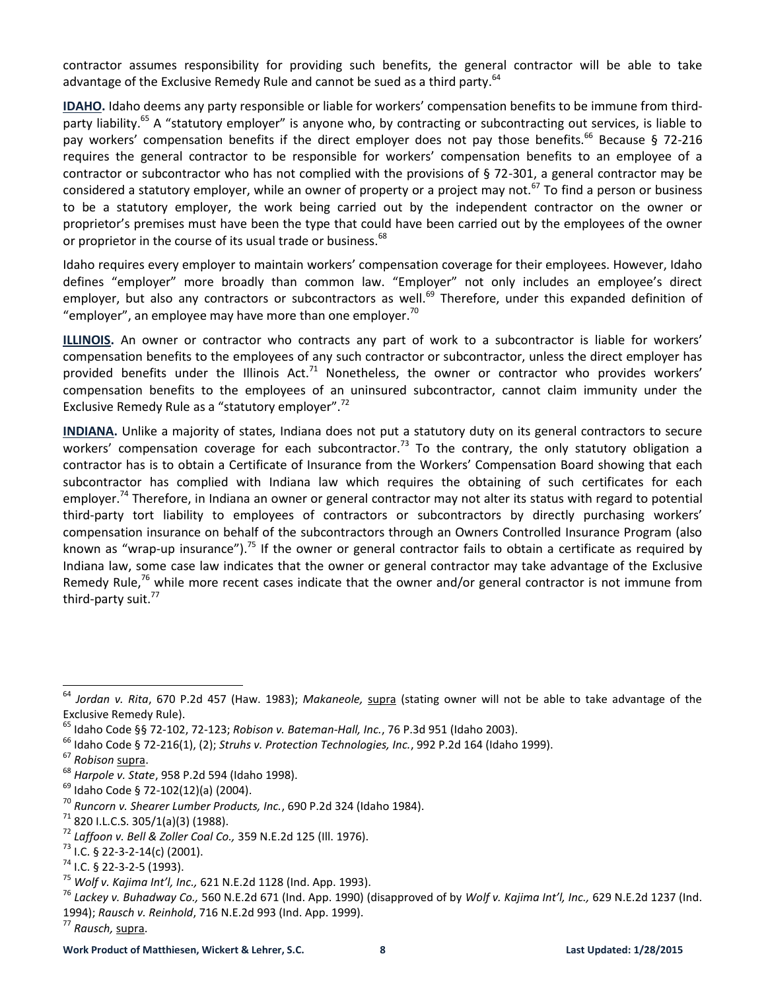contractor assumes responsibility for providing such benefits, the general contractor will be able to take advantage of the Exclusive Remedy Rule and cannot be sued as a third party.<sup>64</sup>

**IDAHO.** Idaho deems any party responsible or liable for workers' compensation benefits to be immune from thirdparty liability.<sup>65</sup> A "statutory employer" is anyone who, by contracting or subcontracting out services, is liable to pay workers' compensation benefits if the direct employer does not pay those benefits.<sup>66</sup> Because § 72-216 requires the general contractor to be responsible for workers' compensation benefits to an employee of a contractor or subcontractor who has not complied with the provisions of § 72-301, a general contractor may be considered a statutory employer, while an owner of property or a project may not.<sup>67</sup> To find a person or business to be a statutory employer, the work being carried out by the independent contractor on the owner or proprietor's premises must have been the type that could have been carried out by the employees of the owner or proprietor in the course of its usual trade or business.<sup>68</sup>

Idaho requires every employer to maintain workers' compensation coverage for their employees. However, Idaho defines "employer" more broadly than common law. "Employer" not only includes an employee's direct employer, but also any contractors or subcontractors as well.<sup>69</sup> Therefore, under this expanded definition of "employer", an employee may have more than one employer.<sup>70</sup>

**ILLINOIS.** An owner or contractor who contracts any part of work to a subcontractor is liable for workers' compensation benefits to the employees of any such contractor or subcontractor, unless the direct employer has provided benefits under the Illinois Act.<sup>71</sup> Nonetheless, the owner or contractor who provides workers' compensation benefits to the employees of an uninsured subcontractor, cannot claim immunity under the Exclusive Remedy Rule as a "statutory employer".<sup>72</sup>

**INDIANA.** Unlike a majority of states, Indiana does not put a statutory duty on its general contractors to secure workers' compensation coverage for each subcontractor.<sup>73</sup> To the contrary, the only statutory obligation a contractor has is to obtain a Certificate of Insurance from the Workers' Compensation Board showing that each subcontractor has complied with Indiana law which requires the obtaining of such certificates for each employer.<sup>74</sup> Therefore, in Indiana an owner or general contractor may not alter its status with regard to potential third-party tort liability to employees of contractors or subcontractors by directly purchasing workers' compensation insurance on behalf of the subcontractors through an Owners Controlled Insurance Program (also known as "wrap-up insurance").<sup>75</sup> If the owner or general contractor fails to obtain a certificate as required by Indiana law, some case law indicates that the owner or general contractor may take advantage of the Exclusive Remedy Rule,<sup>76</sup> while more recent cases indicate that the owner and/or general contractor is not immune from third-party suit.<sup>77</sup>

<sup>64</sup> *Jordan v. Rita*, 670 P.2d 457 (Haw. 1983); *Makaneole,* supra (stating owner will not be able to take advantage of the Exclusive Remedy Rule).

<sup>65</sup> Idaho Code §§ 72-102, 72-123; *Robison v. Bateman-Hall, Inc.*, 76 P.3d 951 (Idaho 2003).

<sup>66</sup> Idaho Code § 72-216(1), (2); *Struhs v. Protection Technologies, Inc.*, 992 P.2d 164 (Idaho 1999).

<sup>67</sup> *Robison* supra.

<sup>68</sup> *Harpole v. State*, 958 P.2d 594 (Idaho 1998).

<sup>69</sup> Idaho Code § 72-102(12)(a) (2004).

<sup>70</sup> *Runcorn v. Shearer Lumber Products, Inc.*, 690 P.2d 324 (Idaho 1984).

 $^{71}$  820 I.L.C.S. 305/1(a)(3) (1988).

<sup>72</sup> *Laffoon v. Bell & Zoller Coal Co.,* 359 N.E.2d 125 (Ill. 1976).

 $^{73}$  I.C. § 22-3-2-14(c) (2001).

 $74$  I.C. § 22-3-2-5 (1993).

<sup>75</sup> *Wolf v. Kajima Int'l, Inc.,* 621 N.E.2d 1128 (Ind. App. 1993).

<sup>76</sup> *Lackey v. Buhadway Co.,* 560 N.E.2d 671 (Ind. App. 1990) (disapproved of by *Wolf v. Kajima Int'l, Inc.,* 629 N.E.2d 1237 (Ind. 1994); *Rausch v. Reinhold*, 716 N.E.2d 993 (Ind. App. 1999).

<sup>77</sup> *Rausch,* supra.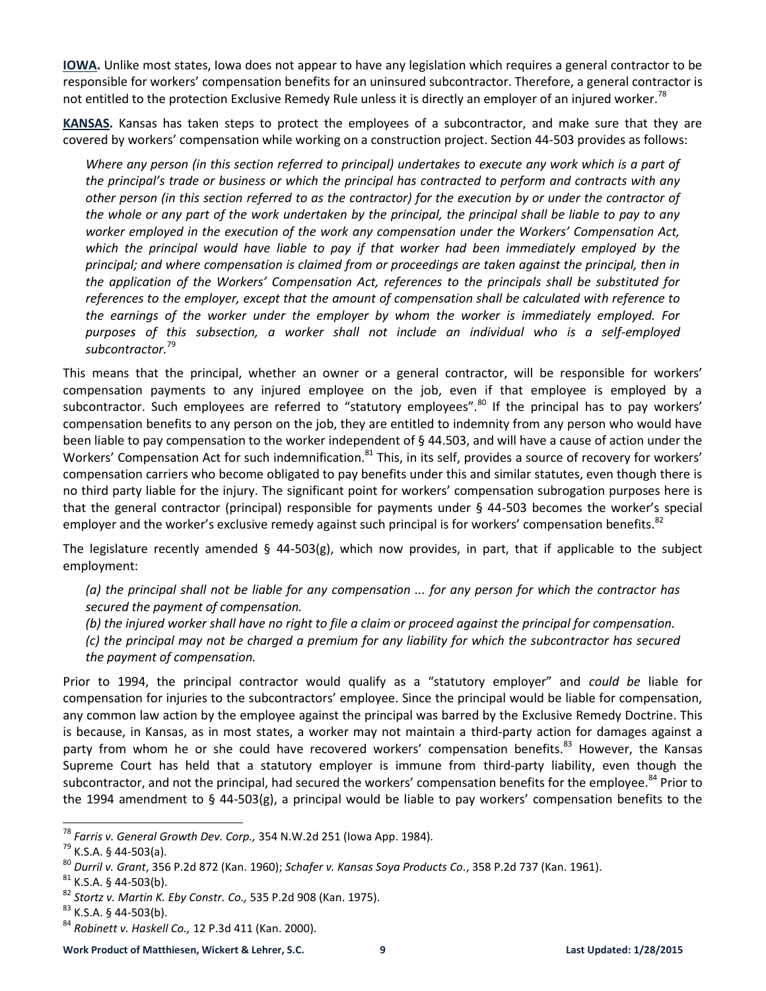**IOWA.** Unlike most states, Iowa does not appear to have any legislation which requires a general contractor to be responsible for workers' compensation benefits for an uninsured subcontractor. Therefore, a general contractor is not entitled to the protection Exclusive Remedy Rule unless it is directly an employer of an injured worker.<sup>78</sup>

**KANSAS.** Kansas has taken steps to protect the employees of a subcontractor, and make sure that they are covered by workers' compensation while working on a construction project. Section 44-503 provides as follows:

*Where any person (in this section referred to principal) undertakes to execute any work which is a part of the principal's trade or business or which the principal has contracted to perform and contracts with any other person (in this section referred to as the contractor) for the execution by or under the contractor of the whole or any part of the work undertaken by the principal, the principal shall be liable to pay to any worker employed in the execution of the work any compensation under the Workers' Compensation Act, which the principal would have liable to pay if that worker had been immediately employed by the principal; and where compensation is claimed from or proceedings are taken against the principal, then in the application of the Workers' Compensation Act, references to the principals shall be substituted for references to the employer, except that the amount of compensation shall be calculated with reference to the earnings of the worker under the employer by whom the worker is immediately employed. For purposes of this subsection, a worker shall not include an individual who is a self-employed subcontractor.*<sup>79</sup>

This means that the principal, whether an owner or a general contractor, will be responsible for workers' compensation payments to any injured employee on the job, even if that employee is employed by a subcontractor. Such employees are referred to "statutory employees".<sup>80</sup> If the principal has to pay workers' compensation benefits to any person on the job, they are entitled to indemnity from any person who would have been liable to pay compensation to the worker independent of § 44.503, and will have a cause of action under the Workers' Compensation Act for such indemnification.<sup>81</sup> This, in its self, provides a source of recovery for workers' compensation carriers who become obligated to pay benefits under this and similar statutes, even though there is no third party liable for the injury. The significant point for workers' compensation subrogation purposes here is that the general contractor (principal) responsible for payments under § 44-503 becomes the worker's special employer and the worker's exclusive remedy against such principal is for workers' compensation benefits.<sup>82</sup>

The legislature recently amended § 44-503(g), which now provides, in part, that if applicable to the subject employment:

*(a) the principal shall not be liable for any compensation ... for any person for which the contractor has secured the payment of compensation.*

*(b) the injured worker shall have no right to file a claim or proceed against the principal for compensation. (c) the principal may not be charged a premium for any liability for which the subcontractor has secured the payment of compensation.*

Prior to 1994, the principal contractor would qualify as a "statutory employer" and *could be* liable for compensation for injuries to the subcontractors' employee. Since the principal would be liable for compensation, any common law action by the employee against the principal was barred by the Exclusive Remedy Doctrine. This is because, in Kansas, as in most states, a worker may not maintain a third-party action for damages against a party from whom he or she could have recovered workers' compensation benefits.<sup>83</sup> However, the Kansas Supreme Court has held that a statutory employer is immune from third-party liability, even though the subcontractor, and not the principal, had secured the workers' compensation benefits for the employee.<sup>84</sup> Prior to the 1994 amendment to § 44-503(g), a principal would be liable to pay workers' compensation benefits to the

<sup>78</sup> *Farris v. General Growth Dev. Corp.,* 354 N.W.2d 251 (Iowa App. 1984).

<sup>79</sup> K.S.A. § 44-503(a).

<sup>80</sup> *Durril v. Grant*, 356 P.2d 872 (Kan. 1960); *Schafer v. Kansas Soya Products Co.*, 358 P.2d 737 (Kan. 1961).

 $81$  K.S.A. § 44-503(b).

<sup>82</sup> *Stortz v. Martin K. Eby Constr. Co.,* 535 P.2d 908 (Kan. 1975).

<sup>83</sup> K.S.A. § 44-503(b).

<sup>84</sup> *Robinett v. Haskell Co.,* 12 P.3d 411 (Kan. 2000).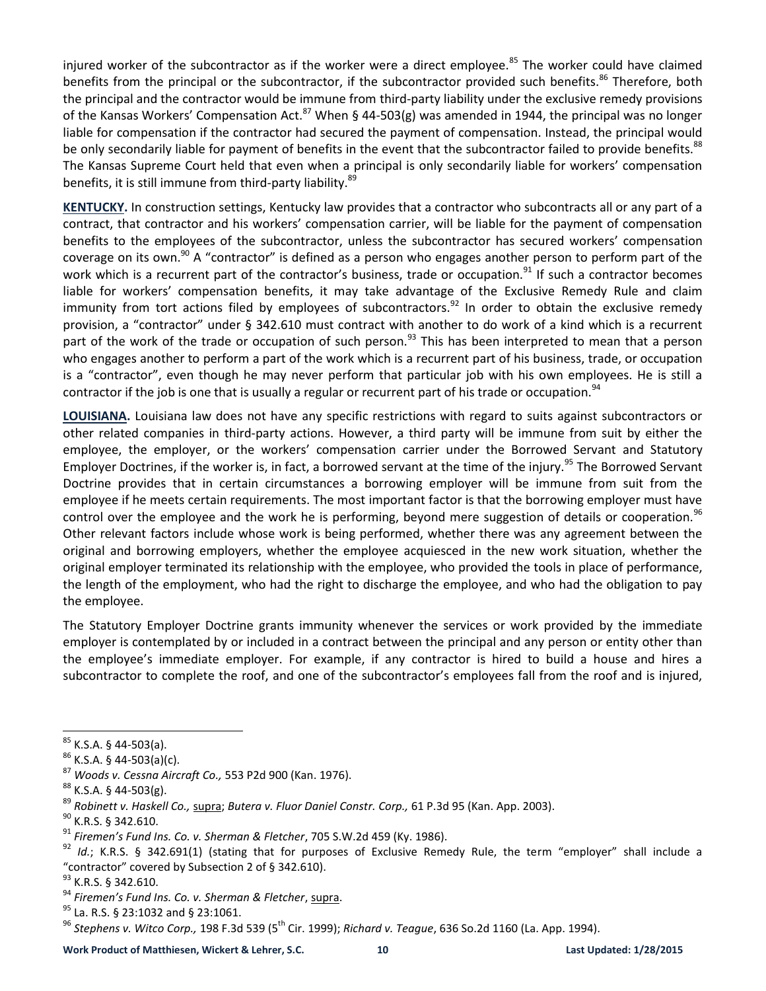injured worker of the subcontractor as if the worker were a direct employee.<sup>85</sup> The worker could have claimed benefits from the principal or the subcontractor, if the subcontractor provided such benefits.<sup>86</sup> Therefore, both the principal and the contractor would be immune from third-party liability under the exclusive remedy provisions of the Kansas Workers' Compensation Act.<sup>87</sup> When § 44-503(g) was amended in 1944, the principal was no longer liable for compensation if the contractor had secured the payment of compensation. Instead, the principal would be only secondarily liable for payment of benefits in the event that the subcontractor failed to provide benefits.<sup>88</sup> The Kansas Supreme Court held that even when a principal is only secondarily liable for workers' compensation benefits, it is still immune from third-party liability.<sup>89</sup>

**KENTUCKY.** In construction settings, Kentucky law provides that a contractor who subcontracts all or any part of a contract, that contractor and his workers' compensation carrier, will be liable for the payment of compensation benefits to the employees of the subcontractor, unless the subcontractor has secured workers' compensation coverage on its own.<sup>90</sup> A "contractor" is defined as a person who engages another person to perform part of the work which is a recurrent part of the contractor's business, trade or occupation.<sup>91</sup> If such a contractor becomes liable for workers' compensation benefits, it may take advantage of the Exclusive Remedy Rule and claim immunity from tort actions filed by employees of subcontractors.<sup>92</sup> In order to obtain the exclusive remedy provision, a "contractor" under § 342.610 must contract with another to do work of a kind which is a recurrent part of the work of the trade or occupation of such person.<sup>93</sup> This has been interpreted to mean that a person who engages another to perform a part of the work which is a recurrent part of his business, trade, or occupation is a "contractor", even though he may never perform that particular job with his own employees. He is still a contractor if the job is one that is usually a regular or recurrent part of his trade or occupation.<sup>94</sup>

**LOUISIANA.** Louisiana law does not have any specific restrictions with regard to suits against subcontractors or other related companies in third-party actions. However, a third party will be immune from suit by either the employee, the employer, or the workers' compensation carrier under the Borrowed Servant and Statutory Employer Doctrines, if the worker is, in fact, a borrowed servant at the time of the injury.<sup>95</sup> The Borrowed Servant Doctrine provides that in certain circumstances a borrowing employer will be immune from suit from the employee if he meets certain requirements. The most important factor is that the borrowing employer must have control over the employee and the work he is performing, beyond mere suggestion of details or cooperation.<sup>96</sup> Other relevant factors include whose work is being performed, whether there was any agreement between the original and borrowing employers, whether the employee acquiesced in the new work situation, whether the original employer terminated its relationship with the employee, who provided the tools in place of performance, the length of the employment, who had the right to discharge the employee, and who had the obligation to pay the employee.

The Statutory Employer Doctrine grants immunity whenever the services or work provided by the immediate employer is contemplated by or included in a contract between the principal and any person or entity other than the employee's immediate employer. For example, if any contractor is hired to build a house and hires a subcontractor to complete the roof, and one of the subcontractor's employees fall from the roof and is injured,

Work Product of Matthiesen, Wickert & Lehrer, S.C. **10 10 Last Updated: 1/28/2015** 

l <sup>85</sup> K.S.A. § 44-503(a).

 $86$  K.S.A. § 44-503(a)(c).

<sup>87</sup> *Woods v. Cessna Aircraft Co.,* 553 P2d 900 (Kan. 1976).

<sup>88</sup> K.S.A. § 44-503(g).

<sup>89</sup> *Robinett v. Haskell Co.,* supra; *Butera v. Fluor Daniel Constr. Corp.,* 61 P.3d 95 (Kan. App. 2003).

<sup>90</sup> K.R.S. § 342.610.

<sup>91</sup> *Firemen's Fund Ins. Co. v. Sherman & Fletcher*, 705 S.W.2d 459 (Ky. 1986).

<sup>92</sup> *Id.*; K.R.S. § 342.691(1) (stating that for purposes of Exclusive Remedy Rule, the term "employer" shall include a "contractor" covered by Subsection 2 of § 342.610).

<sup>93</sup> K.R.S. § 342.610.

<sup>94</sup> *Firemen's Fund Ins. Co. v. Sherman & Fletcher*, supra.

<sup>95</sup> La. R.S. § 23:1032 and § 23:1061.

<sup>96</sup> *Stephens v. Witco Corp.,* 198 F.3d 539 (5th Cir. 1999); *Richard v. Teague*, 636 So.2d 1160 (La. App. 1994).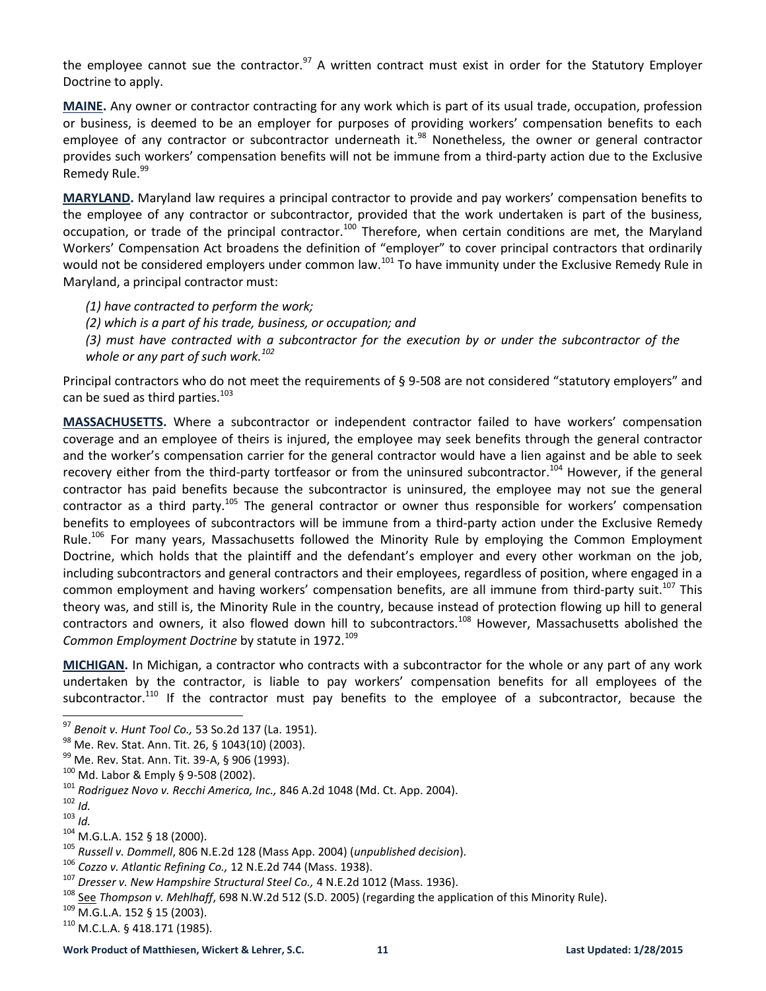the employee cannot sue the contractor.<sup>97</sup> A written contract must exist in order for the Statutory Employer Doctrine to apply.

**MAINE.** Any owner or contractor contracting for any work which is part of its usual trade, occupation, profession or business, is deemed to be an employer for purposes of providing workers' compensation benefits to each employee of any contractor or subcontractor underneath it.<sup>98</sup> Nonetheless, the owner or general contractor provides such workers' compensation benefits will not be immune from a third-party action due to the Exclusive Remedy Rule. 99

**MARYLAND.** Maryland law requires a principal contractor to provide and pay workers' compensation benefits to the employee of any contractor or subcontractor, provided that the work undertaken is part of the business, occupation, or trade of the principal contractor.<sup>100</sup> Therefore, when certain conditions are met, the Maryland Workers' Compensation Act broadens the definition of "employer" to cover principal contractors that ordinarily would not be considered employers under common law.<sup>101</sup> To have immunity under the Exclusive Remedy Rule in Maryland, a principal contractor must:

*(1) have contracted to perform the work;*

*(2) which is a part of his trade, business, or occupation; and* 

*(3) must have contracted with a subcontractor for the execution by or under the subcontractor of the whole or any part of such work.<sup>102</sup>*

Principal contractors who do not meet the requirements of § 9-508 are not considered "statutory employers" and can be sued as third parties.<sup>103</sup>

**MASSACHUSETTS.** Where a subcontractor or independent contractor failed to have workers' compensation coverage and an employee of theirs is injured, the employee may seek benefits through the general contractor and the worker's compensation carrier for the general contractor would have a lien against and be able to seek recovery either from the third-party tortfeasor or from the uninsured subcontractor.<sup>104</sup> However, if the general contractor has paid benefits because the subcontractor is uninsured, the employee may not sue the general contractor as a third party.<sup>105</sup> The general contractor or owner thus responsible for workers' compensation benefits to employees of subcontractors will be immune from a third-party action under the Exclusive Remedy Rule.<sup>106</sup> For many years, Massachusetts followed the Minority Rule by employing the Common Employment Doctrine, which holds that the plaintiff and the defendant's employer and every other workman on the job, including subcontractors and general contractors and their employees, regardless of position, where engaged in a common employment and having workers' compensation benefits, are all immune from third-party suit.<sup>107</sup> This theory was, and still is, the Minority Rule in the country, because instead of protection flowing up hill to general contractors and owners, it also flowed down hill to subcontractors.<sup>108</sup> However, Massachusetts abolished the *Common Employment Doctrine* by statute in 1972.<sup>109</sup>

**MICHIGAN.** In Michigan, a contractor who contracts with a subcontractor for the whole or any part of any work undertaken by the contractor, is liable to pay workers' compensation benefits for all employees of the subcontractor.<sup>110</sup> If the contractor must pay benefits to the employee of a subcontractor, because the

<sup>97</sup> *Benoit v. Hunt Tool Co.,* 53 So.2d 137 (La. 1951).

<sup>98</sup> Me. Rev. Stat. Ann. Tit. 26, § 1043(10) (2003).

<sup>99</sup> Me. Rev. Stat. Ann. Tit. 39-A, § 906 (1993).

 $100$  Md. Labor & Emply § 9-508 (2002).

<sup>101</sup> *Rodriguez Novo v. Recchi America, Inc.,* 846 A.2d 1048 (Md. Ct. App. 2004).

<sup>102</sup> *Id.*

<sup>103</sup> *Id.*

<sup>104</sup> M.G.L.A. 152 § 18 (2000).

<sup>105</sup> *Russell v. Dommell*, 806 N.E.2d 128 (Mass App. 2004) (*unpublished decision*).

<sup>106</sup> *Cozzo v. Atlantic Refining Co.,* 12 N.E.2d 744 (Mass. 1938).

<sup>107</sup> *Dresser v. New Hampshire Structural Steel Co.,* 4 N.E.2d 1012 (Mass. 1936).

<sup>108</sup> See *Thompson v. Mehlhaff*, 698 N.W.2d 512 (S.D. 2005) (regarding the application of this Minority Rule).

 $109$  M.G.L.A. 152 § 15 (2003).

 $110$  M.C.L.A. § 418.171 (1985).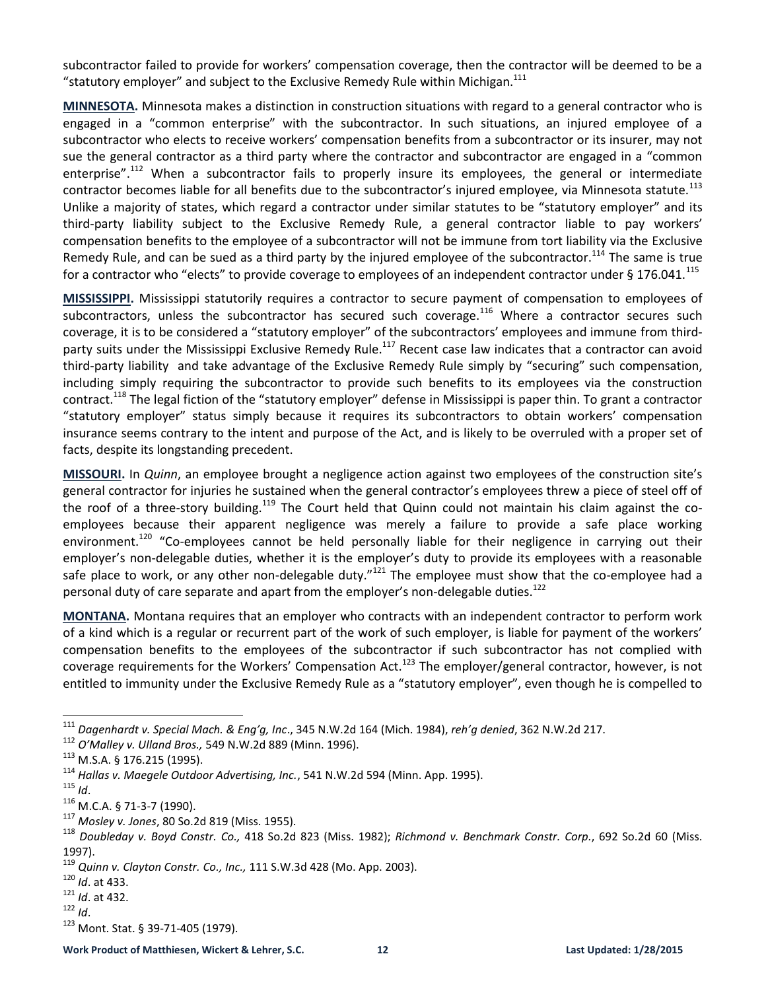subcontractor failed to provide for workers' compensation coverage, then the contractor will be deemed to be a "statutory employer" and subject to the Exclusive Remedy Rule within Michigan. $^{111}$ 

**MINNESOTA.** Minnesota makes a distinction in construction situations with regard to a general contractor who is engaged in a "common enterprise" with the subcontractor. In such situations, an injured employee of a subcontractor who elects to receive workers' compensation benefits from a subcontractor or its insurer, may not sue the general contractor as a third party where the contractor and subcontractor are engaged in a "common enterprise".<sup>112</sup> When a subcontractor fails to properly insure its employees, the general or intermediate contractor becomes liable for all benefits due to the subcontractor's injured employee, via Minnesota statute.<sup>113</sup> Unlike a majority of states, which regard a contractor under similar statutes to be "statutory employer" and its third-party liability subject to the Exclusive Remedy Rule, a general contractor liable to pay workers' compensation benefits to the employee of a subcontractor will not be immune from tort liability via the Exclusive Remedy Rule, and can be sued as a third party by the injured employee of the subcontractor.<sup>114</sup> The same is true for a contractor who "elects" to provide coverage to employees of an independent contractor under § 176.041.<sup>115</sup>

**MISSISSIPPI.** Mississippi statutorily requires a contractor to secure payment of compensation to employees of subcontractors, unless the subcontractor has secured such coverage.<sup>116</sup> Where a contractor secures such coverage, it is to be considered a "statutory employer" of the subcontractors' employees and immune from thirdparty suits under the Mississippi Exclusive Remedy Rule.<sup>117</sup> Recent case law indicates that a contractor can avoid third-party liability and take advantage of the Exclusive Remedy Rule simply by "securing" such compensation, including simply requiring the subcontractor to provide such benefits to its employees via the construction contract.<sup>118</sup> The legal fiction of the "statutory employer" defense in Mississippi is paper thin. To grant a contractor "statutory employer" status simply because it requires its subcontractors to obtain workers' compensation insurance seems contrary to the intent and purpose of the Act, and is likely to be overruled with a proper set of facts, despite its longstanding precedent.

**MISSOURI.** In *Quinn*, an employee brought a negligence action against two employees of the construction site's general contractor for injuries he sustained when the general contractor's employees threw a piece of steel off of the roof of a three-story building.<sup>119</sup> The Court held that Quinn could not maintain his claim against the coemployees because their apparent negligence was merely a failure to provide a safe place working environment.<sup>120</sup> "Co-employees cannot be held personally liable for their negligence in carrying out their employer's non-delegable duties, whether it is the employer's duty to provide its employees with a reasonable safe place to work, or any other non-delegable duty." $121$  The employee must show that the co-employee had a personal duty of care separate and apart from the employer's non-delegable duties.<sup>122</sup>

**MONTANA.** Montana requires that an employer who contracts with an independent contractor to perform work of a kind which is a regular or recurrent part of the work of such employer, is liable for payment of the workers' compensation benefits to the employees of the subcontractor if such subcontractor has not complied with coverage requirements for the Workers' Compensation Act.<sup>123</sup> The employer/general contractor, however, is not entitled to immunity under the Exclusive Remedy Rule as a "statutory employer", even though he is compelled to

l

<sup>120</sup> *Id*. at 433.

<sup>111</sup> *Dagenhardt v. Special Mach. & Eng'g, Inc*., 345 N.W.2d 164 (Mich. 1984), *reh'g denied*, 362 N.W.2d 217.

<sup>112</sup> *O'Malley v. Ulland Bros.,* 549 N.W.2d 889 (Minn. 1996).

<sup>113</sup> M.S.A. § 176.215 (1995).

<sup>114</sup> *Hallas v. Maegele Outdoor Advertising, Inc.*, 541 N.W.2d 594 (Minn. App. 1995).

<sup>115</sup> *Id*.

<sup>116</sup> M.C.A. § 71-3-7 (1990).

<sup>117</sup> *Mosley v. Jones*, 80 So.2d 819 (Miss. 1955).

<sup>118</sup> *Doubleday v. Boyd Constr. Co.,* 418 So.2d 823 (Miss. 1982); *Richmond v. Benchmark Constr. Corp.*, 692 So.2d 60 (Miss. 1997).

<sup>119</sup> *Quinn v. Clayton Constr. Co., Inc.,* 111 S.W.3d 428 (Mo. App. 2003).

<sup>121</sup> *Id*. at 432.

<sup>122</sup> *Id*.

<sup>123</sup> Mont. Stat. § 39-71-405 (1979).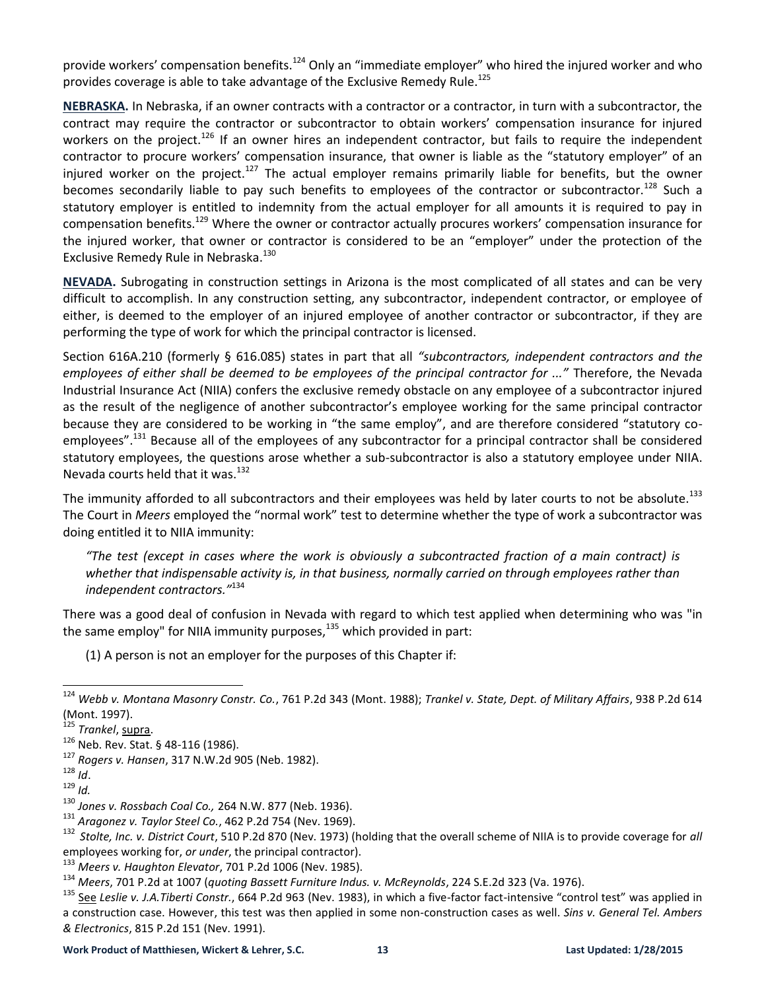provide workers' compensation benefits.<sup>124</sup> Only an "immediate employer" who hired the injured worker and who provides coverage is able to take advantage of the Exclusive Remedy Rule.<sup>125</sup>

**NEBRASKA.** In Nebraska, if an owner contracts with a contractor or a contractor, in turn with a subcontractor, the contract may require the contractor or subcontractor to obtain workers' compensation insurance for injured workers on the project.<sup>126</sup> If an owner hires an independent contractor, but fails to require the independent contractor to procure workers' compensation insurance, that owner is liable as the "statutory employer" of an injured worker on the project.<sup>127</sup> The actual employer remains primarily liable for benefits, but the owner becomes secondarily liable to pay such benefits to employees of the contractor or subcontractor.<sup>128</sup> Such a statutory employer is entitled to indemnity from the actual employer for all amounts it is required to pay in compensation benefits.<sup>129</sup> Where the owner or contractor actually procures workers' compensation insurance for the injured worker, that owner or contractor is considered to be an "employer" under the protection of the Exclusive Remedy Rule in Nebraska.<sup>130</sup>

**NEVADA.** Subrogating in construction settings in Arizona is the most complicated of all states and can be very difficult to accomplish. In any construction setting, any subcontractor, independent contractor, or employee of either, is deemed to the employer of an injured employee of another contractor or subcontractor, if they are performing the type of work for which the principal contractor is licensed.

Section 616A.210 (formerly § 616.085) states in part that all *"subcontractors, independent contractors and the employees of either shall be deemed to be employees of the principal contractor for ..."* Therefore, the Nevada Industrial Insurance Act (NIIA) confers the exclusive remedy obstacle on any employee of a subcontractor injured as the result of the negligence of another subcontractor's employee working for the same principal contractor because they are considered to be working in "the same employ", and are therefore considered "statutory coemployees".<sup>131</sup> Because all of the employees of any subcontractor for a principal contractor shall be considered statutory employees, the questions arose whether a sub-subcontractor is also a statutory employee under NIIA. Nevada courts held that it was.<sup>132</sup>

The immunity afforded to all subcontractors and their employees was held by later courts to not be absolute.<sup>133</sup> The Court in *Meers* employed the "normal work" test to determine whether the type of work a subcontractor was doing entitled it to NIIA immunity:

*"The test (except in cases where the work is obviously a subcontracted fraction of a main contract) is whether that indispensable activity is, in that business, normally carried on through employees rather than independent contractors."*<sup>134</sup>

There was a good deal of confusion in Nevada with regard to which test applied when determining who was "in the same employ" for NIIA immunity purposes,  $135$  which provided in part:

(1) A person is not an employer for the purposes of this Chapter if:

<sup>124</sup> *Webb v. Montana Masonry Constr. Co.*, 761 P.2d 343 (Mont. 1988); *Trankel v. State, Dept. of Military Affairs*, 938 P.2d 614 (Mont. 1997).

<sup>125</sup> *Trankel*, supra.

<sup>126</sup> Neb. Rev. Stat. § 48-116 (1986).

<sup>127</sup> *Rogers v. Hansen*, 317 N.W.2d 905 (Neb. 1982).

<sup>128</sup> *Id*.

<sup>129</sup> *Id.*

<sup>130</sup> *Jones v. Rossbach Coal Co.,* 264 N.W. 877 (Neb. 1936).

<sup>131</sup> *Aragonez v. Taylor Steel Co.*, 462 P.2d 754 (Nev. 1969).

<sup>132</sup> *Stolte, Inc. v. District Court*, 510 P.2d 870 (Nev. 1973) (holding that the overall scheme of NIIA is to provide coverage for *all* employees working for, *or under*, the principal contractor).

<sup>133</sup> *Meers v. Haughton Elevator*, 701 P.2d 1006 (Nev. 1985).

<sup>134</sup> *Meers*, 701 P.2d at 1007 (*quoting Bassett Furniture Indus. v. McReynolds*, 224 S.E.2d 323 (Va. 1976).

<sup>&</sup>lt;sup>135</sup> See Leslie v. J.A.Tiberti Constr., 664 P.2d 963 (Nev. 1983), in which a five-factor fact-intensive "control test" was applied in a construction case. However, this test was then applied in some non-construction cases as well. *Sins v. General Tel. Ambers & Electronics*, 815 P.2d 151 (Nev. 1991).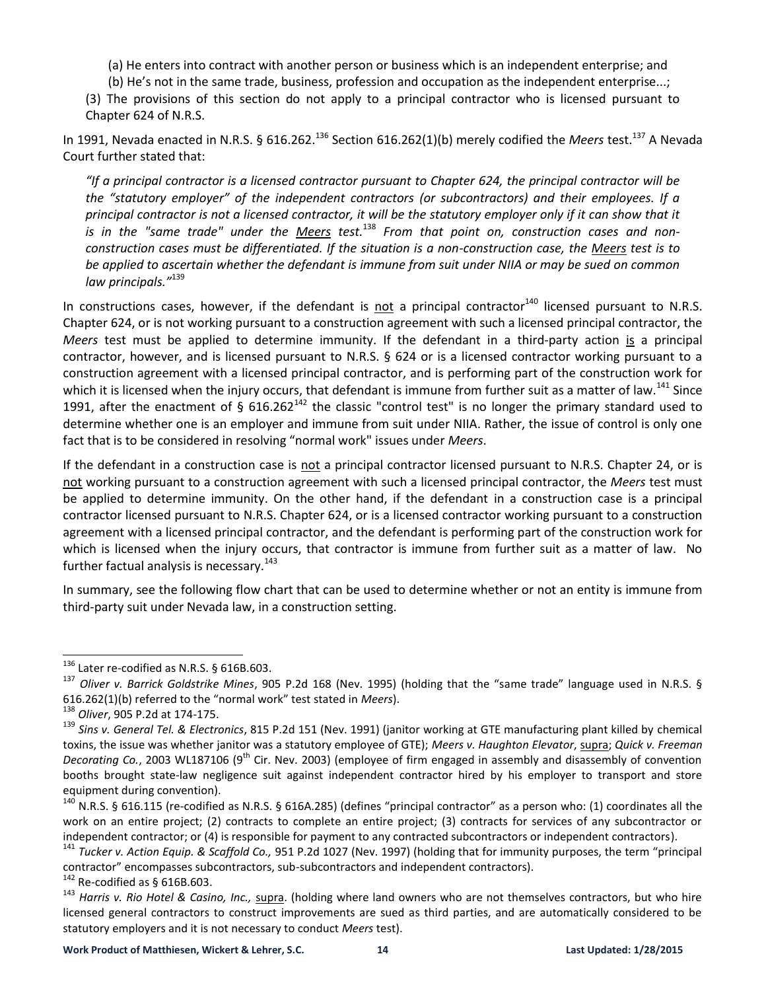(a) He enters into contract with another person or business which is an independent enterprise; and

(b) He's not in the same trade, business, profession and occupation as the independent enterprise...;

(3) The provisions of this section do not apply to a principal contractor who is licensed pursuant to Chapter 624 of N.R.S.

In 1991, Nevada enacted in N.R.S. § 616.262.<sup>136</sup> Section 616.262(1)(b) merely codified the *Meers* test.<sup>137</sup> A Nevada Court further stated that:

*"If a principal contractor is a licensed contractor pursuant to Chapter 624, the principal contractor will be the "statutory employer" of the independent contractors (or subcontractors) and their employees. If a principal contractor is not a licensed contractor, it will be the statutory employer only if it can show that it is in the "same trade" under the Meers test.*<sup>138</sup> *From that point on, construction cases and nonconstruction cases must be differentiated. If the situation is a non-construction case, the Meers test is to be applied to ascertain whether the defendant is immune from suit under NIIA or may be sued on common law principals."*<sup>139</sup>

In constructions cases, however, if the defendant is not a principal contractor<sup>140</sup> licensed pursuant to N.R.S. Chapter 624, or is not working pursuant to a construction agreement with such a licensed principal contractor, the *Meers* test must be applied to determine immunity. If the defendant in a third-party action is a principal contractor, however, and is licensed pursuant to N.R.S. § 624 or is a licensed contractor working pursuant to a construction agreement with a licensed principal contractor, and is performing part of the construction work for which it is licensed when the injury occurs, that defendant is immune from further suit as a matter of law.<sup>141</sup> Since 1991, after the enactment of § 616.262<sup>142</sup> the classic "control test" is no longer the primary standard used to determine whether one is an employer and immune from suit under NIIA. Rather, the issue of control is only one fact that is to be considered in resolving "normal work" issues under *Meers*.

If the defendant in a construction case is not a principal contractor licensed pursuant to N.R.S. Chapter 24, or is not working pursuant to a construction agreement with such a licensed principal contractor, the *Meers* test must be applied to determine immunity. On the other hand, if the defendant in a construction case is a principal contractor licensed pursuant to N.R.S. Chapter 624, or is a licensed contractor working pursuant to a construction agreement with a licensed principal contractor, and the defendant is performing part of the construction work for which is licensed when the injury occurs, that contractor is immune from further suit as a matter of law. No further factual analysis is necessary.<sup>143</sup>

In summary, see the following flow chart that can be used to determine whether or not an entity is immune from third-party suit under Nevada law, in a construction setting.

<sup>136</sup> Later re-codified as N.R.S. § 616B.603.

<sup>137</sup> *Oliver v. Barrick Goldstrike Mines*, 905 P.2d 168 (Nev. 1995) (holding that the "same trade" language used in N.R.S. § 616.262(1)(b) referred to the "normal work" test stated in *Meers*).

<sup>138</sup> *Oliver*, 905 P.2d at 174-175.

<sup>139</sup> *Sins v. General Tel. & Electronics*, 815 P.2d 151 (Nev. 1991) (janitor working at GTE manufacturing plant killed by chemical toxins, the issue was whether janitor was a statutory employee of GTE); *Meers v. Haughton Elevator*, supra; *Quick v. Freeman Decorating Co.*, 2003 WL187106 (9<sup>th</sup> Cir. Nev. 2003) (employee of firm engaged in assembly and disassembly of convention booths brought state-law negligence suit against independent contractor hired by his employer to transport and store equipment during convention).

<sup>&</sup>lt;sup>140</sup> N.R.S. § 616.115 (re-codified as N.R.S. § 616A.285) (defines "principal contractor" as a person who: (1) coordinates all the work on an entire project; (2) contracts to complete an entire project; (3) contracts for services of any subcontractor or independent contractor; or (4) is responsible for payment to any contracted subcontractors or independent contractors).

<sup>141</sup> *Tucker v. Action Equip. & Scaffold Co.,* 951 P.2d 1027 (Nev. 1997) (holding that for immunity purposes, the term "principal contractor" encompasses subcontractors, sub-subcontractors and independent contractors).

 $142$  Re-codified as § 616B.603.

<sup>143</sup> *Harris v. Rio Hotel & Casino, Inc.,* supra. (holding where land owners who are not themselves contractors, but who hire licensed general contractors to construct improvements are sued as third parties, and are automatically considered to be statutory employers and it is not necessary to conduct *Meers* test).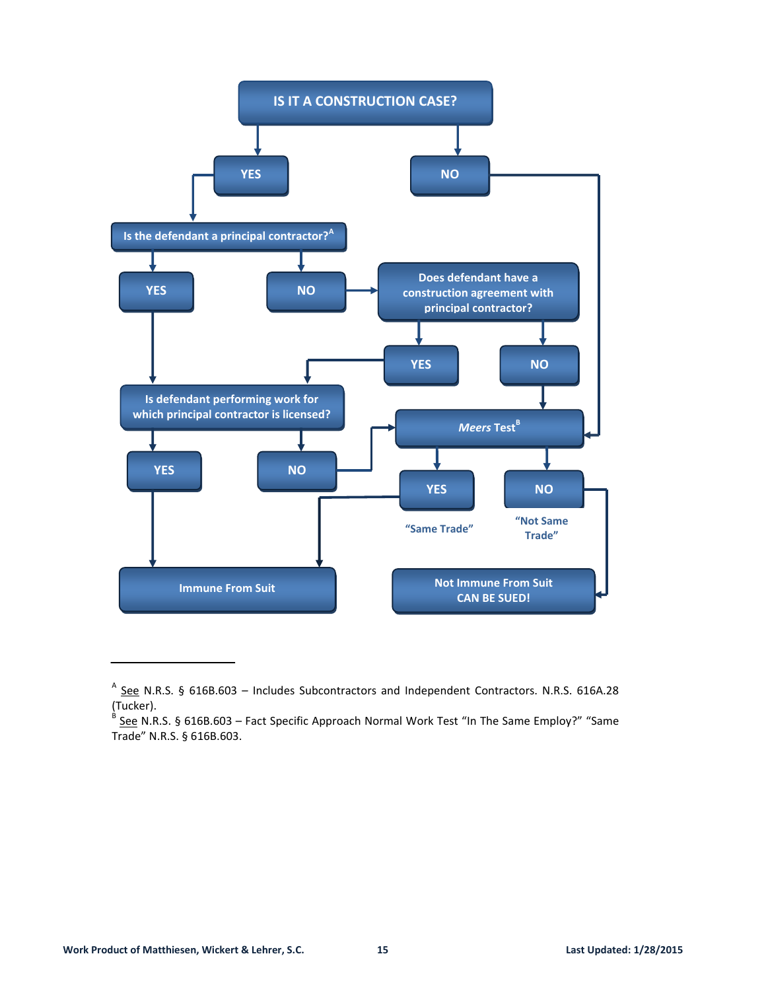

<sup>&</sup>lt;sup>A</sup> See N.R.S. § 616B.603 – Includes Subcontractors and Independent Contractors. N.R.S. 616A.28 (Tucker).

<sup>&</sup>lt;sup>B</sup> See N.R.S. § 616B.603 – Fact Specific Approach Normal Work Test "In The Same Employ?" "Same Trade" N.R.S. § 616B.603.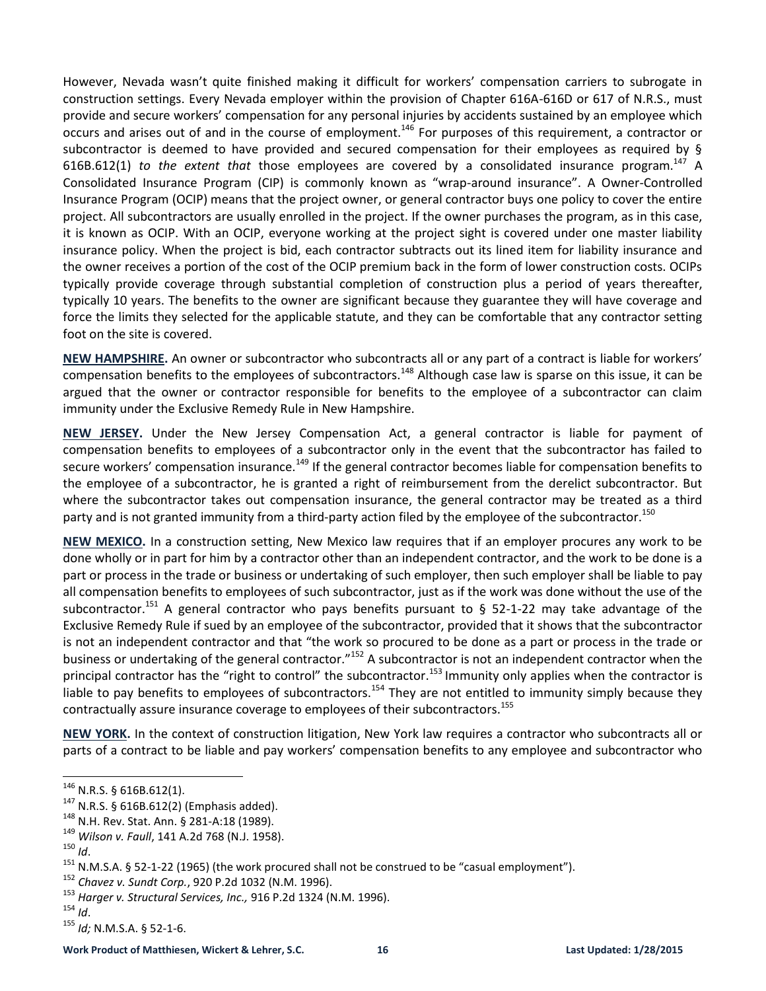However, Nevada wasn't quite finished making it difficult for workers' compensation carriers to subrogate in construction settings. Every Nevada employer within the provision of Chapter 616A-616D or 617 of N.R.S., must provide and secure workers' compensation for any personal injuries by accidents sustained by an employee which occurs and arises out of and in the course of employment.<sup>146</sup> For purposes of this requirement, a contractor or subcontractor is deemed to have provided and secured compensation for their employees as required by § 616B.612(1) *to the extent that* those employees are covered by a consolidated insurance program.<sup>147</sup> A Consolidated Insurance Program (CIP) is commonly known as "wrap-around insurance". A Owner-Controlled Insurance Program (OCIP) means that the project owner, or general contractor buys one policy to cover the entire project. All subcontractors are usually enrolled in the project. If the owner purchases the program, as in this case, it is known as OCIP. With an OCIP, everyone working at the project sight is covered under one master liability insurance policy. When the project is bid, each contractor subtracts out its lined item for liability insurance and the owner receives a portion of the cost of the OCIP premium back in the form of lower construction costs. OCIPs typically provide coverage through substantial completion of construction plus a period of years thereafter, typically 10 years. The benefits to the owner are significant because they guarantee they will have coverage and force the limits they selected for the applicable statute, and they can be comfortable that any contractor setting foot on the site is covered.

**NEW HAMPSHIRE.** An owner or subcontractor who subcontracts all or any part of a contract is liable for workers' compensation benefits to the employees of subcontractors.<sup>148</sup> Although case law is sparse on this issue, it can be argued that the owner or contractor responsible for benefits to the employee of a subcontractor can claim immunity under the Exclusive Remedy Rule in New Hampshire.

**NEW JERSEY.** Under the New Jersey Compensation Act, a general contractor is liable for payment of compensation benefits to employees of a subcontractor only in the event that the subcontractor has failed to secure workers' compensation insurance.<sup>149</sup> If the general contractor becomes liable for compensation benefits to the employee of a subcontractor, he is granted a right of reimbursement from the derelict subcontractor. But where the subcontractor takes out compensation insurance, the general contractor may be treated as a third party and is not granted immunity from a third-party action filed by the employee of the subcontractor.<sup>150</sup>

**NEW MEXICO.** In a construction setting, New Mexico law requires that if an employer procures any work to be done wholly or in part for him by a contractor other than an independent contractor, and the work to be done is a part or process in the trade or business or undertaking of such employer, then such employer shall be liable to pay all compensation benefits to employees of such subcontractor, just as if the work was done without the use of the subcontractor.<sup>151</sup> A general contractor who pays benefits pursuant to § 52-1-22 may take advantage of the Exclusive Remedy Rule if sued by an employee of the subcontractor, provided that it shows that the subcontractor is not an independent contractor and that "the work so procured to be done as a part or process in the trade or business or undertaking of the general contractor."<sup>152</sup> A subcontractor is not an independent contractor when the principal contractor has the "right to control" the subcontractor.<sup>153</sup> Immunity only applies when the contractor is liable to pay benefits to employees of subcontractors.<sup>154</sup> They are not entitled to immunity simply because they contractually assure insurance coverage to employees of their subcontractors.<sup>155</sup>

**NEW YORK.** In the context of construction litigation, New York law requires a contractor who subcontracts all or parts of a contract to be liable and pay workers' compensation benefits to any employee and subcontractor who

<sup>146</sup> N.R.S. § 616B.612(1).

 $147$  N.R.S. § 616B.612(2) (Emphasis added).

<sup>148</sup> N.H. Rev. Stat. Ann. § 281-A:18 (1989).

<sup>149</sup> *Wilson v. Faull*, 141 A.2d 768 (N.J. 1958).

<sup>150</sup> *Id*.

<sup>&</sup>lt;sup>151</sup> N.M.S.A. § 52-1-22 (1965) (the work procured shall not be construed to be "casual employment").

<sup>152</sup> *Chavez v. Sundt Corp.*, 920 P.2d 1032 (N.M. 1996).

<sup>153</sup> *Harger v. Structural Services, Inc.,* 916 P.2d 1324 (N.M. 1996).

 $154$  *Id.* 

<sup>155</sup> *Id;* N.M.S.A. § 52-1-6.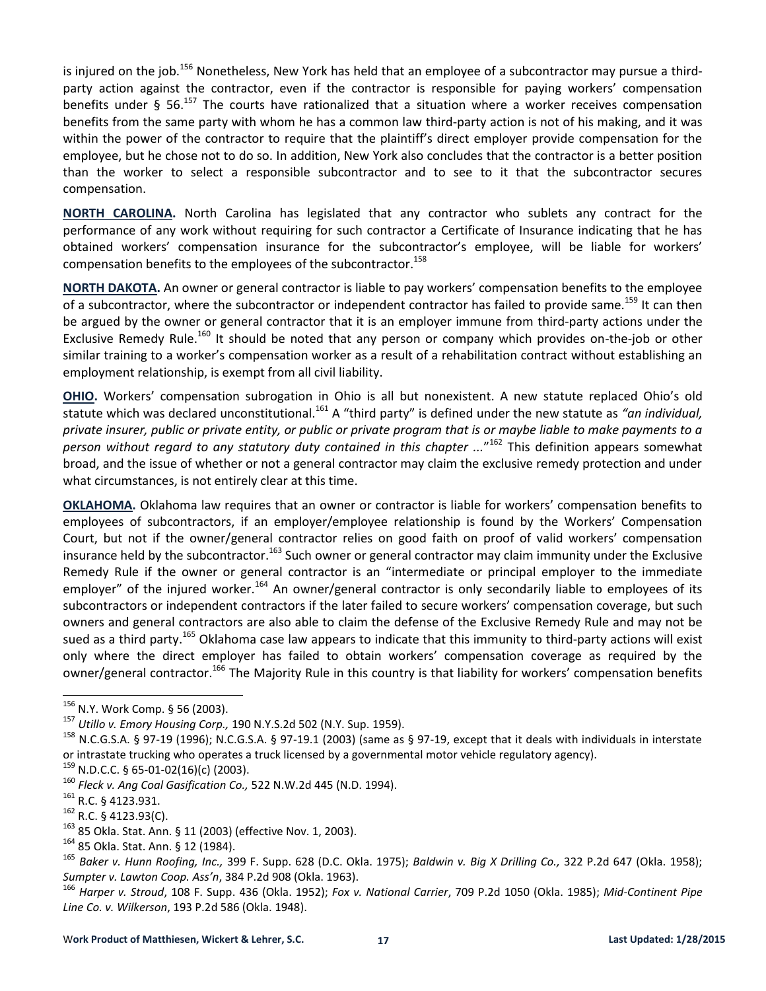is injured on the job.<sup>156</sup> Nonetheless, New York has held that an employee of a subcontractor may pursue a thirdparty action against the contractor, even if the contractor is responsible for paying workers' compensation benefits under § 56.<sup>157</sup> The courts have rationalized that a situation where a worker receives compensation benefits from the same party with whom he has a common law third-party action is not of his making, and it was within the power of the contractor to require that the plaintiff's direct employer provide compensation for the employee, but he chose not to do so. In addition, New York also concludes that the contractor is a better position than the worker to select a responsible subcontractor and to see to it that the subcontractor secures compensation.

**NORTH CAROLINA.** North Carolina has legislated that any contractor who sublets any contract for the performance of any work without requiring for such contractor a Certificate of Insurance indicating that he has obtained workers' compensation insurance for the subcontractor's employee, will be liable for workers' compensation benefits to the employees of the subcontractor.<sup>158</sup>

**NORTH DAKOTA.** An owner or general contractor is liable to pay workers' compensation benefits to the employee of a subcontractor, where the subcontractor or independent contractor has failed to provide same.<sup>159</sup> It can then be argued by the owner or general contractor that it is an employer immune from third-party actions under the Exclusive Remedy Rule.<sup>160</sup> It should be noted that any person or company which provides on-the-job or other similar training to a worker's compensation worker as a result of a rehabilitation contract without establishing an employment relationship, is exempt from all civil liability.

**OHIO.** Workers' compensation subrogation in Ohio is all but nonexistent. A new statute replaced Ohio's old statute which was declared unconstitutional.<sup>161</sup> A "third party" is defined under the new statute as "an individual, *private insurer, public or private entity, or public or private program that is or maybe liable to make payments to a person without regard to any statutory duty contained in this chapter ...*" <sup>162</sup> This definition appears somewhat broad, and the issue of whether or not a general contractor may claim the exclusive remedy protection and under what circumstances, is not entirely clear at this time.

**OKLAHOMA.** Oklahoma law requires that an owner or contractor is liable for workers' compensation benefits to employees of subcontractors, if an employer/employee relationship is found by the Workers' Compensation Court, but not if the owner/general contractor relies on good faith on proof of valid workers' compensation insurance held by the subcontractor.<sup>163</sup> Such owner or general contractor may claim immunity under the Exclusive Remedy Rule if the owner or general contractor is an "intermediate or principal employer to the immediate employer" of the injured worker.<sup>164</sup> An owner/general contractor is only secondarily liable to employees of its subcontractors or independent contractors if the later failed to secure workers' compensation coverage, but such owners and general contractors are also able to claim the defense of the Exclusive Remedy Rule and may not be sued as a third party.<sup>165</sup> Oklahoma case law appears to indicate that this immunity to third-party actions will exist only where the direct employer has failed to obtain workers' compensation coverage as required by the owner/general contractor.<sup>166</sup> The Majority Rule in this country is that liability for workers' compensation benefits

<sup>&</sup>lt;sup>156</sup> N.Y. Work Comp. § 56 (2003).

<sup>157</sup> *Utillo v. Emory Housing Corp.,* 190 N.Y.S.2d 502 (N.Y. Sup. 1959).

<sup>158</sup> N.C.G.S.A. § 97-19 (1996); N.C.G.S.A. § 97-19.1 (2003) (same as § 97-19, except that it deals with individuals in interstate or intrastate trucking who operates a truck licensed by a governmental motor vehicle regulatory agency).

 $^{159}$  N.D.C.C. § 65-01-02(16)(c) (2003).

<sup>160</sup> *Fleck v. Ang Coal Gasification Co.,* 522 N.W.2d 445 (N.D. 1994).

<sup>161</sup> R.C. § 4123.931.

<sup>162</sup> R.C. § 4123.93(C).

<sup>163</sup> 85 Okla. Stat. Ann. § 11 (2003) (effective Nov. 1, 2003).

<sup>&</sup>lt;sup>164</sup> 85 Okla. Stat. Ann. § 12 (1984).

<sup>165</sup> *Baker v. Hunn Roofing, Inc.,* 399 F. Supp. 628 (D.C. Okla. 1975); *Baldwin v. Big X Drilling Co.,* 322 P.2d 647 (Okla. 1958); *Sumpter v. Lawton Coop. Ass'n*, 384 P.2d 908 (Okla. 1963).

<sup>166</sup> *Harper v. Stroud*, 108 F. Supp. 436 (Okla. 1952); *Fox v. National Carrier*, 709 P.2d 1050 (Okla. 1985); *Mid-Continent Pipe Line Co. v. Wilkerson*, 193 P.2d 586 (Okla. 1948).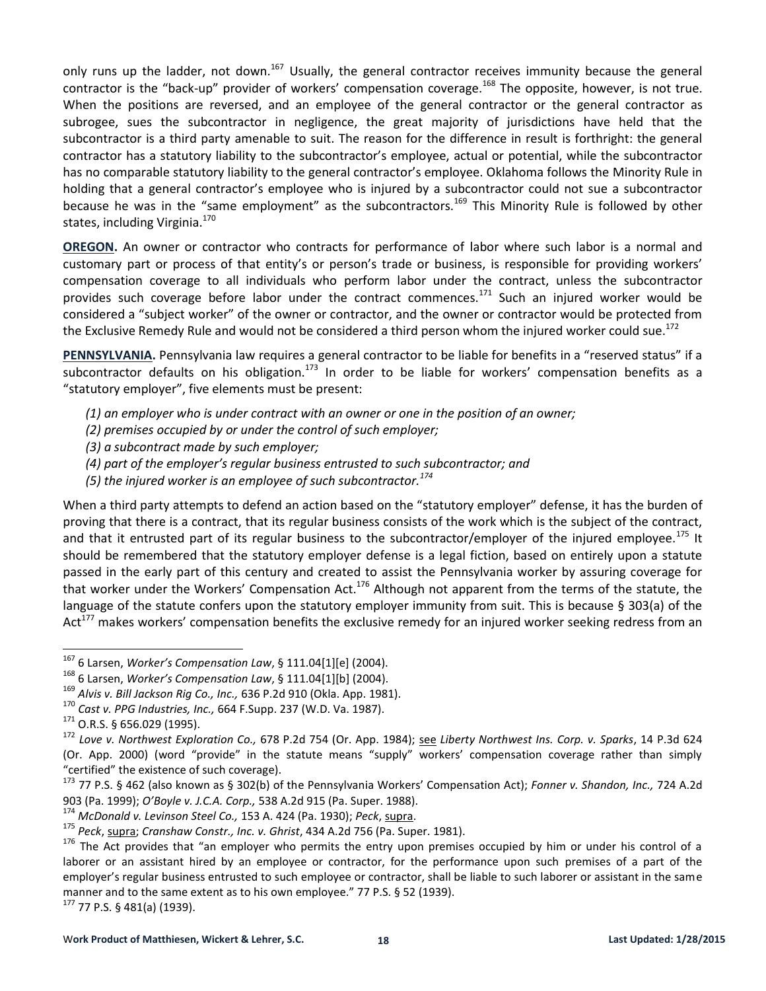only runs up the ladder, not down.<sup>167</sup> Usually, the general contractor receives immunity because the general contractor is the "back-up" provider of workers' compensation coverage.<sup>168</sup> The opposite, however, is not true. When the positions are reversed, and an employee of the general contractor or the general contractor as subrogee, sues the subcontractor in negligence, the great majority of jurisdictions have held that the subcontractor is a third party amenable to suit. The reason for the difference in result is forthright: the general contractor has a statutory liability to the subcontractor's employee, actual or potential, while the subcontractor has no comparable statutory liability to the general contractor's employee. Oklahoma follows the Minority Rule in holding that a general contractor's employee who is injured by a subcontractor could not sue a subcontractor because he was in the "same employment" as the subcontractors.<sup>169</sup> This Minority Rule is followed by other states, including Virginia.<sup>170</sup>

**OREGON.** An owner or contractor who contracts for performance of labor where such labor is a normal and customary part or process of that entity's or person's trade or business, is responsible for providing workers' compensation coverage to all individuals who perform labor under the contract, unless the subcontractor provides such coverage before labor under the contract commences.<sup>171</sup> Such an injured worker would be considered a "subject worker" of the owner or contractor, and the owner or contractor would be protected from the Exclusive Remedy Rule and would not be considered a third person whom the injured worker could sue.<sup>172</sup>

PENNSYLVANIA. Pennsylvania law requires a general contractor to be liable for benefits in a "reserved status" if a subcontractor defaults on his obligation.<sup>173</sup> In order to be liable for workers' compensation benefits as a "statutory employer", five elements must be present:

- *(1) an employer who is under contract with an owner or one in the position of an owner;*
- *(2) premises occupied by or under the control of such employer;*
- *(3) a subcontract made by such employer;*
- *(4) part of the employer's regular business entrusted to such subcontractor; and*
- *(5) the injured worker is an employee of such subcontractor.<sup>174</sup>*

When a third party attempts to defend an action based on the "statutory employer" defense, it has the burden of proving that there is a contract, that its regular business consists of the work which is the subject of the contract, and that it entrusted part of its regular business to the subcontractor/employer of the injured employee.<sup>175</sup> It should be remembered that the statutory employer defense is a legal fiction, based on entirely upon a statute passed in the early part of this century and created to assist the Pennsylvania worker by assuring coverage for that worker under the Workers' Compensation Act.<sup>176</sup> Although not apparent from the terms of the statute, the language of the statute confers upon the statutory employer immunity from suit. This is because § 303(a) of the Act<sup>177</sup> makes workers' compensation benefits the exclusive remedy for an injured worker seeking redress from an

<sup>167</sup> 6 Larsen, *Worker's Compensation Law*, § 111.04[1][e] (2004).

<sup>168</sup> 6 Larsen, *Worker's Compensation Law*, § 111.04[1][b] (2004).

<sup>169</sup> *Alvis v. Bill Jackson Rig Co., Inc.,* 636 P.2d 910 (Okla. App. 1981).

<sup>170</sup> *Cast v. PPG Industries, Inc.,* 664 F.Supp. 237 (W.D. Va. 1987).

<sup>171</sup> O.R.S. § 656.029 (1995).

<sup>172</sup> *Love v. Northwest Exploration Co.,* 678 P.2d 754 (Or. App. 1984); see *Liberty Northwest Ins. Corp. v. Sparks*, 14 P.3d 624 (Or. App. 2000) (word "provide" in the statute means "supply" workers' compensation coverage rather than simply "certified" the existence of such coverage).

<sup>173</sup> 77 P.S. § 462 (also known as § 302(b) of the Pennsylvania Workers' Compensation Act); *Fonner v. Shandon, Inc.,* 724 A.2d 903 (Pa. 1999); *O'Boyle v. J.C.A. Corp.,* 538 A.2d 915 (Pa. Super. 1988).

<sup>174</sup> *McDonald v. Levinson Steel Co.,* 153 A. 424 (Pa. 1930); *Peck*, supra.

<sup>175</sup> *Peck*, supra; *Cranshaw Constr., Inc. v. Ghrist*, 434 A.2d 756 (Pa. Super. 1981).

<sup>&</sup>lt;sup>176</sup> The Act provides that "an employer who permits the entry upon premises occupied by him or under his control of a laborer or an assistant hired by an employee or contractor, for the performance upon such premises of a part of the employer's regular business entrusted to such employee or contractor, shall be liable to such laborer or assistant in the same manner and to the same extent as to his own employee." 77 P.S. § 52 (1939).

 $177$  77 P.S. § 481(a) (1939).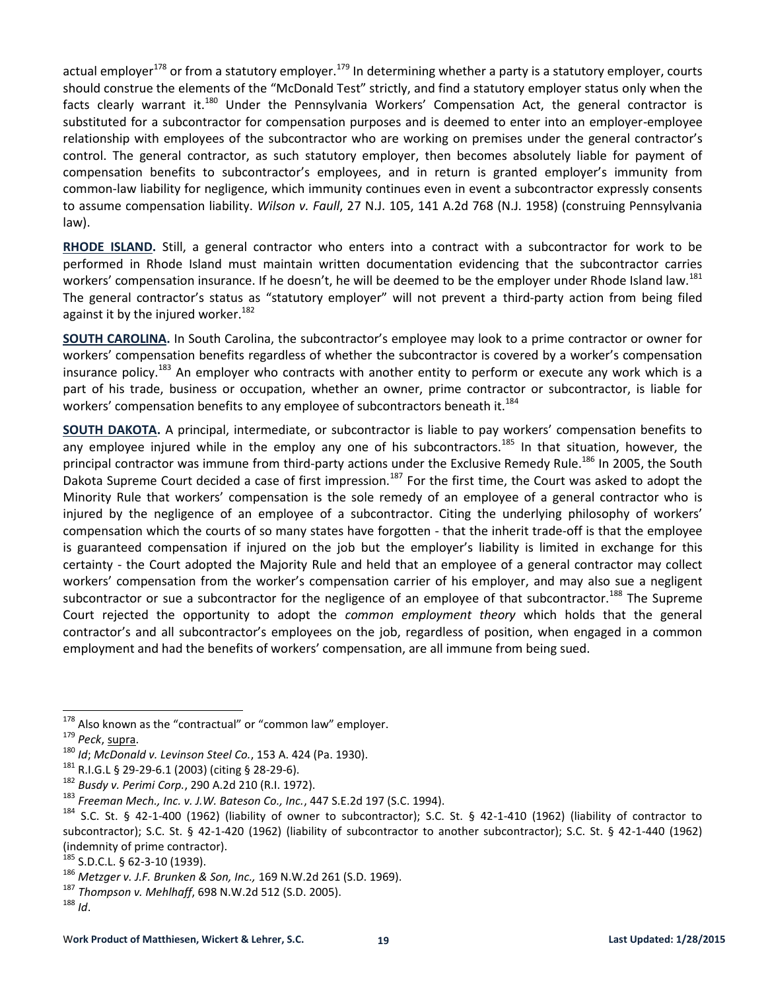actual employer<sup>178</sup> or from a statutory employer.<sup>179</sup> In determining whether a party is a statutory employer, courts should construe the elements of the "McDonald Test" strictly, and find a statutory employer status only when the facts clearly warrant it.<sup>180</sup> Under the Pennsylvania Workers' Compensation Act, the general contractor is substituted for a subcontractor for compensation purposes and is deemed to enter into an employer-employee relationship with employees of the subcontractor who are working on premises under the general contractor's control. The general contractor, as such statutory employer, then becomes absolutely liable for payment of compensation benefits to subcontractor's employees, and in return is granted employer's immunity from common-law liability for negligence, which immunity continues even in event a subcontractor expressly consents to assume compensation liability. *Wilson v. Faull*, 27 N.J. 105, 141 A.2d 768 (N.J. 1958) (construing Pennsylvania law).

**RHODE ISLAND.** Still, a general contractor who enters into a contract with a subcontractor for work to be performed in Rhode Island must maintain written documentation evidencing that the subcontractor carries workers' compensation insurance. If he doesn't, he will be deemed to be the employer under Rhode Island law.<sup>181</sup> The general contractor's status as "statutory employer" will not prevent a third-party action from being filed against it by the injured worker.  $182$ 

**SOUTH CAROLINA.** In South Carolina, the subcontractor's employee may look to a prime contractor or owner for workers' compensation benefits regardless of whether the subcontractor is covered by a worker's compensation insurance policy.<sup>183</sup> An employer who contracts with another entity to perform or execute any work which is a part of his trade, business or occupation, whether an owner, prime contractor or subcontractor, is liable for workers' compensation benefits to any employee of subcontractors beneath it.<sup>184</sup>

**SOUTH DAKOTA.** A principal, intermediate, or subcontractor is liable to pay workers' compensation benefits to any employee injured while in the employ any one of his subcontractors.<sup>185</sup> In that situation, however, the principal contractor was immune from third-party actions under the Exclusive Remedy Rule.<sup>186</sup> In 2005, the South Dakota Supreme Court decided a case of first impression.<sup>187</sup> For the first time, the Court was asked to adopt the Minority Rule that workers' compensation is the sole remedy of an employee of a general contractor who is injured by the negligence of an employee of a subcontractor. Citing the underlying philosophy of workers' compensation which the courts of so many states have forgotten - that the inherit trade-off is that the employee is guaranteed compensation if injured on the job but the employer's liability is limited in exchange for this certainty - the Court adopted the Majority Rule and held that an employee of a general contractor may collect workers' compensation from the worker's compensation carrier of his employer, and may also sue a negligent subcontractor or sue a subcontractor for the negligence of an employee of that subcontractor.<sup>188</sup> The Supreme Court rejected the opportunity to adopt the *common employment theory* which holds that the general contractor's and all subcontractor's employees on the job, regardless of position, when engaged in a common employment and had the benefits of workers' compensation, are all immune from being sued.

 $178$  Also known as the "contractual" or "common law" employer.

<sup>179</sup> *Peck*, supra.

<sup>180</sup> *Id*; *McDonald v. Levinson Steel Co.*, 153 A. 424 (Pa. 1930).

<sup>181</sup> R.I.G.L § 29-29-6.1 (2003) (citing § 28-29-6).

<sup>182</sup> *Busdy v. Perimi Corp.*, 290 A.2d 210 (R.I. 1972).

<sup>183</sup> *Freeman Mech., Inc. v. J.W. Bateson Co., Inc.*, 447 S.E.2d 197 (S.C. 1994).

<sup>184</sup> S.C. St. § 42-1-400 (1962) (liability of owner to subcontractor); S.C. St. § 42-1-410 (1962) (liability of contractor to subcontractor); S.C. St. § 42-1-420 (1962) (liability of subcontractor to another subcontractor); S.C. St. § 42-1-440 (1962) (indemnity of prime contractor).

<sup>185</sup> S.D.C.L. § 62-3-10 (1939).

<sup>186</sup> *Metzger v. J.F. Brunken & Son, Inc.,* 169 N.W.2d 261 (S.D. 1969).

<sup>187</sup> *Thompson v. Mehlhaff*, 698 N.W.2d 512 (S.D. 2005).

<sup>188</sup> *Id*.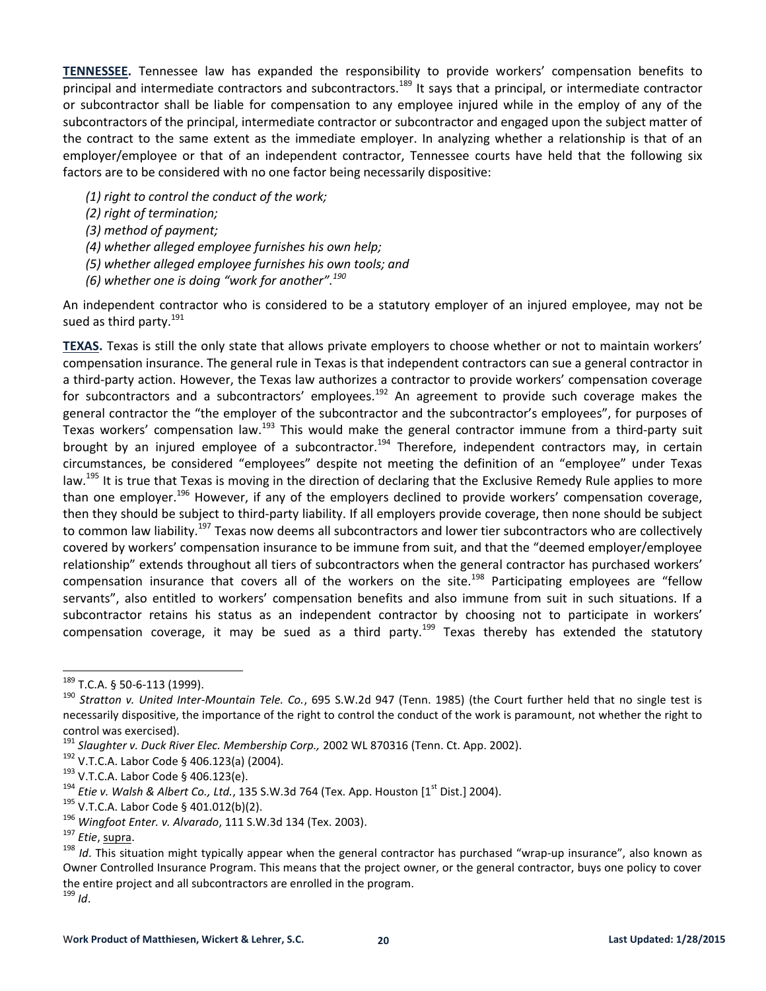**TENNESSEE.** Tennessee law has expanded the responsibility to provide workers' compensation benefits to principal and intermediate contractors and subcontractors.<sup>189</sup> It says that a principal, or intermediate contractor or subcontractor shall be liable for compensation to any employee injured while in the employ of any of the subcontractors of the principal, intermediate contractor or subcontractor and engaged upon the subject matter of the contract to the same extent as the immediate employer. In analyzing whether a relationship is that of an employer/employee or that of an independent contractor, Tennessee courts have held that the following six factors are to be considered with no one factor being necessarily dispositive:

- *(1) right to control the conduct of the work;*
- *(2) right of termination;*
- *(3) method of payment;*
- *(4) whether alleged employee furnishes his own help;*
- *(5) whether alleged employee furnishes his own tools; and*
- *(6) whether one is doing "work for another".<sup>190</sup>*

An independent contractor who is considered to be a statutory employer of an injured employee, may not be sued as third party. $191$ 

**TEXAS.** Texas is still the only state that allows private employers to choose whether or not to maintain workers' compensation insurance. The general rule in Texas is that independent contractors can sue a general contractor in a third-party action. However, the Texas law authorizes a contractor to provide workers' compensation coverage for subcontractors and a subcontractors' employees.<sup>192</sup> An agreement to provide such coverage makes the general contractor the "the employer of the subcontractor and the subcontractor's employees", for purposes of Texas workers' compensation law.<sup>193</sup> This would make the general contractor immune from a third-party suit brought by an injured employee of a subcontractor.<sup>194</sup> Therefore, independent contractors may, in certain circumstances, be considered "employees" despite not meeting the definition of an "employee" under Texas law.<sup>195</sup> It is true that Texas is moving in the direction of declaring that the Exclusive Remedy Rule applies to more than one employer.<sup>196</sup> However, if any of the employers declined to provide workers' compensation coverage, then they should be subject to third-party liability. If all employers provide coverage, then none should be subject to common law liability.<sup>197</sup> Texas now deems all subcontractors and lower tier subcontractors who are collectively covered by workers' compensation insurance to be immune from suit, and that the "deemed employer/employee relationship" extends throughout all tiers of subcontractors when the general contractor has purchased workers' compensation insurance that covers all of the workers on the site.<sup>198</sup> Participating employees are "fellow servants", also entitled to workers' compensation benefits and also immune from suit in such situations. If a subcontractor retains his status as an independent contractor by choosing not to participate in workers' compensation coverage, it may be sued as a third party.<sup>199</sup> Texas thereby has extended the statutory

<sup>&</sup>lt;sup>189</sup> T.C.A. § 50-6-113 (1999).

<sup>190</sup> *Stratton v. United Inter-Mountain Tele. Co.*, 695 S.W.2d 947 (Tenn. 1985) (the Court further held that no single test is necessarily dispositive, the importance of the right to control the conduct of the work is paramount, not whether the right to control was exercised).

<sup>191</sup> *Slaughter v. Duck River Elec. Membership Corp.,* 2002 WL 870316 (Tenn. Ct. App. 2002).

 $192$  V.T.C.A. Labor Code § 406.123(a) (2004).

<sup>193</sup> V.T.C.A. Labor Code § 406.123(e).

<sup>&</sup>lt;sup>194</sup> *Etie v. Walsh & Albert Co., Ltd.*, 135 S.W.3d 764 (Tex. App. Houston [1<sup>st</sup> Dist.] 2004).

<sup>195</sup> V.T.C.A. Labor Code § 401.012(b)(2).

<sup>196</sup> *Wingfoot Enter. v. Alvarado*, 111 S.W.3d 134 (Tex. 2003).

<sup>197</sup> *Etie*, supra.

<sup>&</sup>lt;sup>198</sup> *Id*. This situation might typically appear when the general contractor has purchased "wrap-up insurance", also known as Owner Controlled Insurance Program. This means that the project owner, or the general contractor, buys one policy to cover the entire project and all subcontractors are enrolled in the program. <sup>199</sup> *Id*.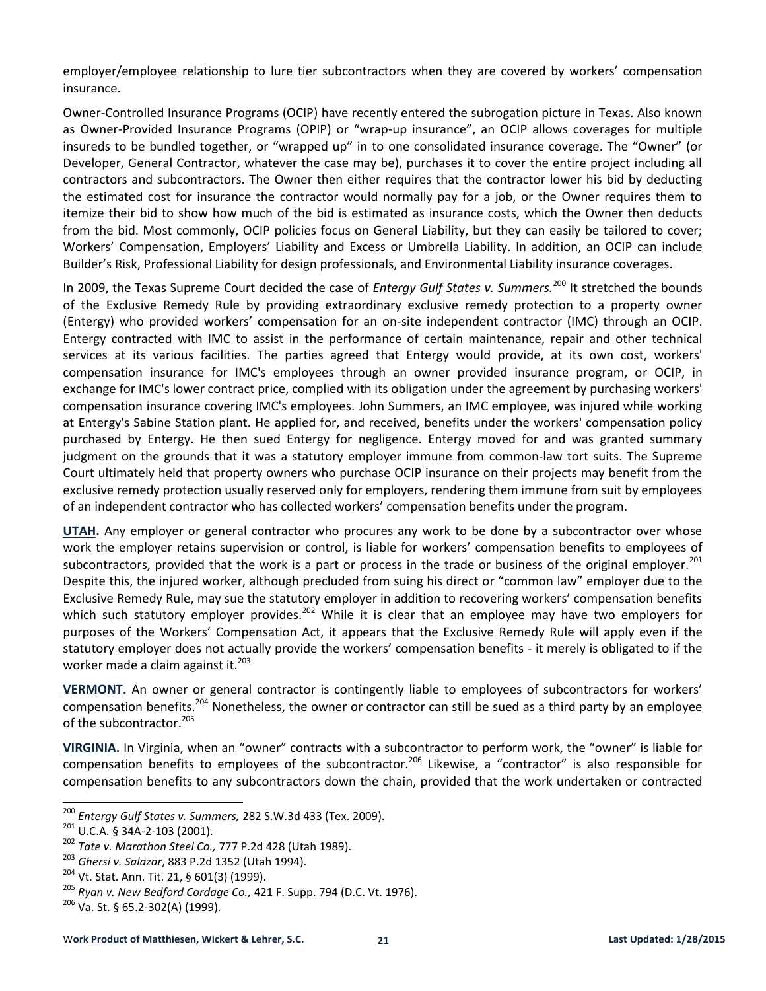employer/employee relationship to lure tier subcontractors when they are covered by workers' compensation insurance.

Owner-Controlled Insurance Programs (OCIP) have recently entered the subrogation picture in Texas. Also known as Owner-Provided Insurance Programs (OPIP) or "wrap-up insurance", an OCIP allows coverages for multiple insureds to be bundled together, or "wrapped up" in to one consolidated insurance coverage. The "Owner" (or Developer, General Contractor, whatever the case may be), purchases it to cover the entire project including all contractors and subcontractors. The Owner then either requires that the contractor lower his bid by deducting the estimated cost for insurance the contractor would normally pay for a job, or the Owner requires them to itemize their bid to show how much of the bid is estimated as insurance costs, which the Owner then deducts from the bid. Most commonly, OCIP policies focus on General Liability, but they can easily be tailored to cover; Workers' Compensation, Employers' Liability and Excess or Umbrella Liability. In addition, an OCIP can include Builder's Risk, Professional Liability for design professionals, and Environmental Liability insurance coverages.

In 2009, the Texas Supreme Court decided the case of *Entergy Gulf States v. Summers.*<sup>200</sup> It stretched the bounds of the Exclusive Remedy Rule by providing extraordinary exclusive remedy protection to a property owner (Entergy) who provided workers' compensation for an on-site independent contractor (IMC) through an OCIP. Entergy contracted with IMC to assist in the performance of certain maintenance, repair and other technical services at its various facilities. The parties agreed that Entergy would provide, at its own cost, workers' compensation insurance for IMC's employees through an owner provided insurance program, or OCIP, in exchange for IMC's lower contract price, complied with its obligation under the agreement by purchasing workers' compensation insurance covering IMC's employees. John Summers, an IMC employee, was injured while working at Entergy's Sabine Station plant. He applied for, and received, benefits under the workers' compensation policy purchased by Entergy. He then sued Entergy for negligence. Entergy moved for and was granted summary judgment on the grounds that it was a statutory employer immune from common-law tort suits. The Supreme Court ultimately held that property owners who purchase OCIP insurance on their projects may benefit from the exclusive remedy protection usually reserved only for employers, rendering them immune from suit by employees of an independent contractor who has collected workers' compensation benefits under the program.

**UTAH.** Any employer or general contractor who procures any work to be done by a subcontractor over whose work the employer retains supervision or control, is liable for workers' compensation benefits to employees of subcontractors, provided that the work is a part or process in the trade or business of the original employer.<sup>201</sup> Despite this, the injured worker, although precluded from suing his direct or "common law" employer due to the Exclusive Remedy Rule, may sue the statutory employer in addition to recovering workers' compensation benefits which such statutory employer provides.<sup>202</sup> While it is clear that an employee may have two employers for purposes of the Workers' Compensation Act, it appears that the Exclusive Remedy Rule will apply even if the statutory employer does not actually provide the workers' compensation benefits - it merely is obligated to if the worker made a claim against it. $^{203}$ 

**VERMONT.** An owner or general contractor is contingently liable to employees of subcontractors for workers' compensation benefits.<sup>204</sup> Nonetheless, the owner or contractor can still be sued as a third party by an employee of the subcontractor.<sup>205</sup>

**VIRGINIA.** In Virginia, when an "owner" contracts with a subcontractor to perform work, the "owner" is liable for compensation benefits to employees of the subcontractor.<sup>206</sup> Likewise, a "contractor" is also responsible for compensation benefits to any subcontractors down the chain, provided that the work undertaken or contracted

<sup>200</sup> *Entergy Gulf States v. Summers,* 282 S.W.3d 433 (Tex. 2009).

<sup>201</sup> U.C.A. § 34A-2-103 (2001).

<sup>202</sup> *Tate v. Marathon Steel Co.,* 777 P.2d 428 (Utah 1989).

<sup>203</sup> *Ghersi v. Salazar*, 883 P.2d 1352 (Utah 1994).

<sup>&</sup>lt;sup>204</sup> Vt. Stat. Ann. Tit. 21, § 601(3) (1999).

<sup>205</sup> *Ryan v. New Bedford Cordage Co.,* 421 F. Supp. 794 (D.C. Vt. 1976).

 $206$  Va. St. § 65.2-302(A) (1999).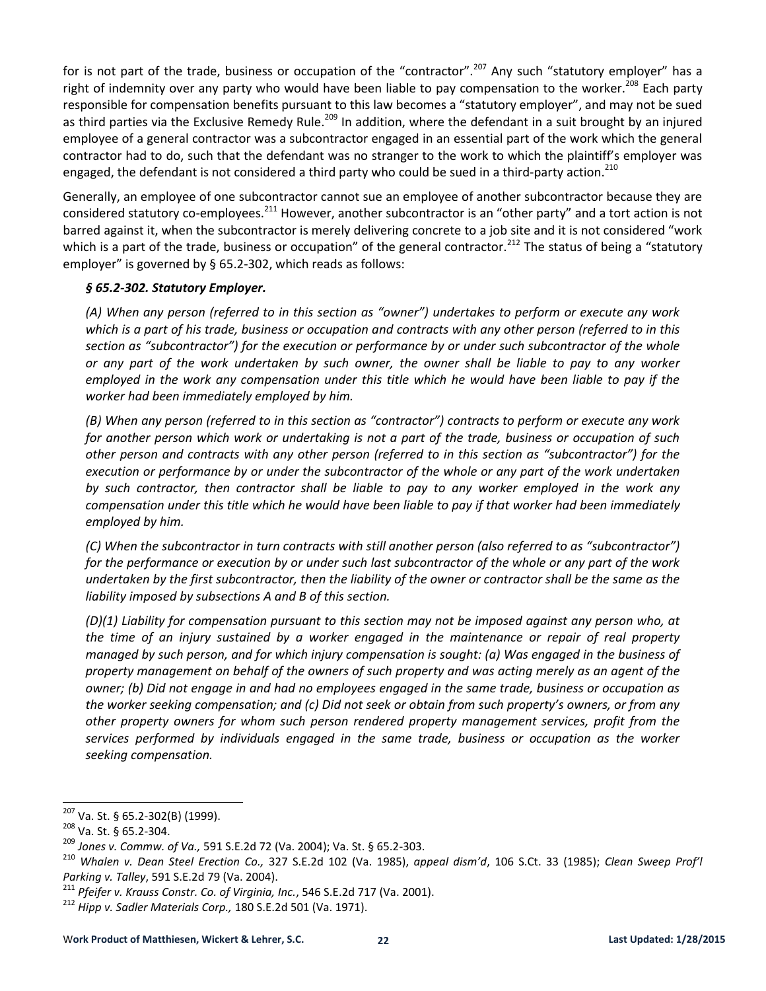for is not part of the trade, business or occupation of the "contractor".<sup>207</sup> Any such "statutory employer" has a right of indemnity over any party who would have been liable to pay compensation to the worker.<sup>208</sup> Each party responsible for compensation benefits pursuant to this law becomes a "statutory employer", and may not be sued as third parties via the Exclusive Remedy Rule.<sup>209</sup> In addition, where the defendant in a suit brought by an injured employee of a general contractor was a subcontractor engaged in an essential part of the work which the general contractor had to do, such that the defendant was no stranger to the work to which the plaintiff's employer was engaged, the defendant is not considered a third party who could be sued in a third-party action.<sup>210</sup>

Generally, an employee of one subcontractor cannot sue an employee of another subcontractor because they are considered statutory co-employees.<sup>211</sup> However, another subcontractor is an "other party" and a tort action is not barred against it, when the subcontractor is merely delivering concrete to a job site and it is not considered "work which is a part of the trade, business or occupation" of the general contractor.<sup>212</sup> The status of being a "statutory employer" is governed by § 65.2-302, which reads as follows:

## *§ 65.2-302. Statutory Employer.*

*(A) When any person (referred to in this section as "owner") undertakes to perform or execute any work which is a part of his trade, business or occupation and contracts with any other person (referred to in this section as "subcontractor") for the execution or performance by or under such subcontractor of the whole or any part of the work undertaken by such owner, the owner shall be liable to pay to any worker employed in the work any compensation under this title which he would have been liable to pay if the worker had been immediately employed by him.*

*(B) When any person (referred to in this section as "contractor") contracts to perform or execute any work for another person which work or undertaking is not a part of the trade, business or occupation of such other person and contracts with any other person (referred to in this section as "subcontractor") for the execution or performance by or under the subcontractor of the whole or any part of the work undertaken by such contractor, then contractor shall be liable to pay to any worker employed in the work any compensation under this title which he would have been liable to pay if that worker had been immediately employed by him.*

*(C) When the subcontractor in turn contracts with still another person (also referred to as "subcontractor") for the performance or execution by or under such last subcontractor of the whole or any part of the work undertaken by the first subcontractor, then the liability of the owner or contractor shall be the same as the liability imposed by subsections A and B of this section.*

*(D)(1) Liability for compensation pursuant to this section may not be imposed against any person who, at the time of an injury sustained by a worker engaged in the maintenance or repair of real property managed by such person, and for which injury compensation is sought: (a) Was engaged in the business of property management on behalf of the owners of such property and was acting merely as an agent of the owner; (b) Did not engage in and had no employees engaged in the same trade, business or occupation as the worker seeking compensation; and (c) Did not seek or obtain from such property's owners, or from any other property owners for whom such person rendered property management services, profit from the services performed by individuals engaged in the same trade, business or occupation as the worker seeking compensation.*

<sup>&</sup>lt;sup>207</sup> Va. St. § 65.2-302(B) (1999).

<sup>208</sup> Va. St. § 65.2-304.

<sup>209</sup> *Jones v. Commw. of Va.,* 591 S.E.2d 72 (Va. 2004); Va. St. § 65.2-303.

<sup>210</sup> *Whalen v. Dean Steel Erection Co.,* 327 S.E.2d 102 (Va. 1985), *appeal dism'd*, 106 S.Ct. 33 (1985); *Clean Sweep Prof'l Parking v. Talley*, 591 S.E.2d 79 (Va. 2004).

<sup>211</sup> *Pfeifer v. Krauss Constr. Co. of Virginia, Inc.*, 546 S.E.2d 717 (Va. 2001).

<sup>212</sup> *Hipp v. Sadler Materials Corp.,* 180 S.E.2d 501 (Va. 1971).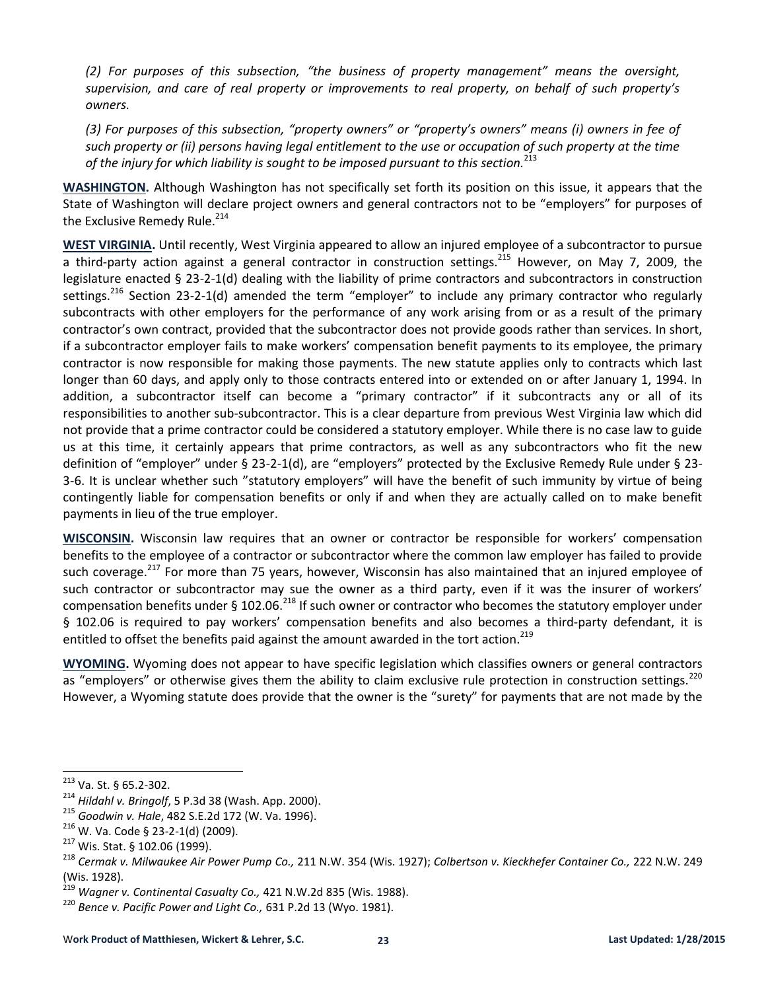*(2) For purposes of this subsection, "the business of property management" means the oversight, supervision, and care of real property or improvements to real property, on behalf of such property's owners.*

*(3) For purposes of this subsection, "property owners" or "property's owners" means (i) owners in fee of such property or (ii) persons having legal entitlement to the use or occupation of such property at the time of the injury for which liability is sought to be imposed pursuant to this section.*<sup>213</sup>

**WASHINGTON.** Although Washington has not specifically set forth its position on this issue, it appears that the State of Washington will declare project owners and general contractors not to be "employers" for purposes of the Exclusive Remedy Rule. 214

**WEST VIRGINIA.** Until recently, West Virginia appeared to allow an injured employee of a subcontractor to pursue a third-party action against a general contractor in construction settings.<sup>215</sup> However, on May 7, 2009, the legislature enacted § 23-2-1(d) dealing with the liability of prime contractors and subcontractors in construction settings.<sup>216</sup> Section 23-2-1(d) amended the term "employer" to include any primary contractor who regularly subcontracts with other employers for the performance of any work arising from or as a result of the primary contractor's own contract, provided that the subcontractor does not provide goods rather than services. In short, if a subcontractor employer fails to make workers' compensation benefit payments to its employee, the primary contractor is now responsible for making those payments. The new statute applies only to contracts which last longer than 60 days, and apply only to those contracts entered into or extended on or after January 1, 1994. In addition, a subcontractor itself can become a "primary contractor" if it subcontracts any or all of its responsibilities to another sub-subcontractor. This is a clear departure from previous West Virginia law which did not provide that a prime contractor could be considered a statutory employer. While there is no case law to guide us at this time, it certainly appears that prime contractors, as well as any subcontractors who fit the new definition of "employer" under § 23-2-1(d), are "employers" protected by the Exclusive Remedy Rule under § 23- 3-6. It is unclear whether such "statutory employers" will have the benefit of such immunity by virtue of being contingently liable for compensation benefits or only if and when they are actually called on to make benefit payments in lieu of the true employer.

**WISCONSIN.** Wisconsin law requires that an owner or contractor be responsible for workers' compensation benefits to the employee of a contractor or subcontractor where the common law employer has failed to provide such coverage.<sup>217</sup> For more than 75 years, however, Wisconsin has also maintained that an injured employee of such contractor or subcontractor may sue the owner as a third party, even if it was the insurer of workers' compensation benefits under § 102.06.<sup>218</sup> If such owner or contractor who becomes the statutory employer under § 102.06 is required to pay workers' compensation benefits and also becomes a third-party defendant, it is entitled to offset the benefits paid against the amount awarded in the tort action.<sup>219</sup>

**WYOMING.** Wyoming does not appear to have specific legislation which classifies owners or general contractors as "employers" or otherwise gives them the ability to claim exclusive rule protection in construction settings.<sup>220</sup> However, a Wyoming statute does provide that the owner is the "surety" for payments that are not made by the

<sup>213</sup> Va. St. § 65.2-302.

<sup>214</sup> *Hildahl v. Bringolf*, 5 P.3d 38 (Wash. App. 2000).

<sup>215</sup> *Goodwin v. Hale*, 482 S.E.2d 172 (W. Va. 1996).

 $216$  W. Va. Code § 23-2-1(d) (2009).

<sup>217</sup> Wis. Stat. § 102.06 (1999).

<sup>218</sup> *Cermak v. Milwaukee Air Power Pump Co.,* 211 N.W. 354 (Wis. 1927); *Colbertson v. Kieckhefer Container Co.,* 222 N.W. 249 (Wis. 1928).

<sup>219</sup> *Wagner v. Continental Casualty Co.,* 421 N.W.2d 835 (Wis. 1988).

<sup>220</sup> *Bence v. Pacific Power and Light Co.,* 631 P.2d 13 (Wyo. 1981).